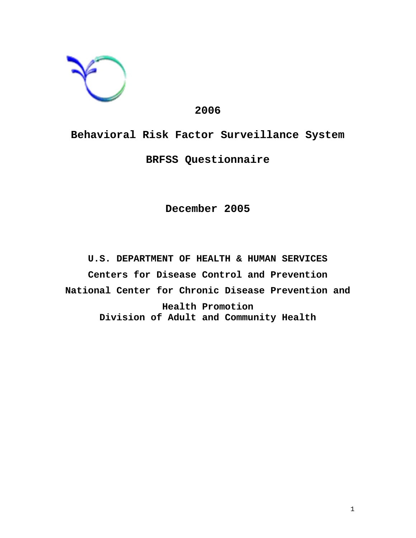

# **2006**

**Behavioral Risk Factor Surveillance System BRFSS Questionnaire**

**December 2005**

**U.S. DEPARTMENT OF HEALTH & HUMAN SERVICES Centers for Disease Control and Prevention National Center for Chronic Disease Prevention and Health Promotion Division of Adult and Community Health**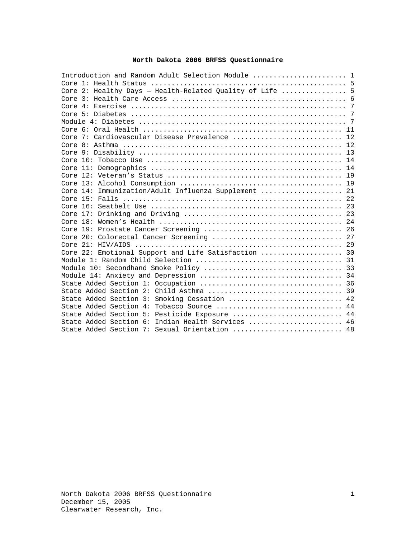# **North Dakota 2006 BRFSS Questionnaire**

| Introduction and Random Adult Selection Module  1        |  |
|----------------------------------------------------------|--|
|                                                          |  |
| Core 2: Healthy Days - Health-Related Quality of Life  5 |  |
|                                                          |  |
|                                                          |  |
|                                                          |  |
|                                                          |  |
|                                                          |  |
| Core 7: Cardiovascular Disease Prevalence  12            |  |
|                                                          |  |
|                                                          |  |
|                                                          |  |
|                                                          |  |
|                                                          |  |
|                                                          |  |
| Core 14: Immunization/Adult Influenza Supplement  21     |  |
|                                                          |  |
| Core $16:$                                               |  |
|                                                          |  |
|                                                          |  |
|                                                          |  |
|                                                          |  |
|                                                          |  |
| Core 22: Emotional Support and Life Satisfaction  30     |  |
|                                                          |  |
|                                                          |  |
|                                                          |  |
|                                                          |  |
|                                                          |  |
| State Added Section 3: Smoking Cessation  42             |  |
| State Added Section 4: Tobacco Source  44                |  |
| State Added Section 5: Pesticide Exposure  44            |  |
| State Added Section 6: Indian Health Services  46        |  |
| State Added Section 7: Sexual Orientation  48            |  |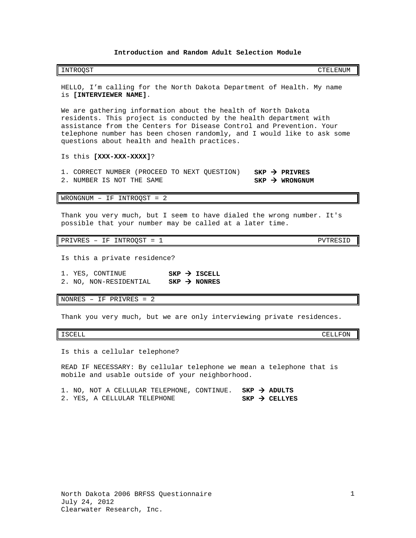### **Introduction and Random Adult Selection Module**

<span id="page-2-0"></span>

|  |  | INTROOST | CTELENUM |
|--|--|----------|----------|
|--|--|----------|----------|

HELLO, I'm calling for the North Dakota Department of Health. My name is **[INTERVIEWER NAME]**.

We are gathering information about the health of North Dakota residents. This project is conducted by the health department with assistance from the Centers for Disease Control and Prevention. Your telephone number has been chosen randomly, and I would like to ask some questions about health and health practices.

### Is this **[XXX-XXX-XXXX]**?

1. CORRECT NUMBER (PROCEED TO NEXT QUESTION) **SKP > PRIVRES**<br>2. NUMBER IS NOT THE SAME 2. NUMBER IS NOT THE SAME

WRONGNUM – IF INTROQST = 2

Thank you very much, but I seem to have dialed the wrong number. It's possible that your number may be called at a later time.

PRIVRES - IF INTROQST = 1 PVTRESID

Is this a private residence?

- 1. YES, CONTINUE **SKP > ISCELL**<br>2. NO, NON-RESIDENTIAL **SKP > NONRES**
- 2. NO, NON-RESIDENTIAL **SKP NONRES**

NONRES – IF PRIVRES = 2

Thank you very much, but we are only interviewing private residences.

ISCELL CELLFON

Is this a cellular telephone?

READ IF NECESSARY: By cellular telephone we mean a telephone that is mobile and usable outside of your neighborhood.

|  |  |                              |  | 1. NO, NOT A CELLULAR TELEPHONE, CONTINUE. SKP $\rightarrow$ ADULTS |  |                           |
|--|--|------------------------------|--|---------------------------------------------------------------------|--|---------------------------|
|  |  | 2. YES, A CELLULAR TELEPHONE |  |                                                                     |  | $SKP \rightarrow CELLYES$ |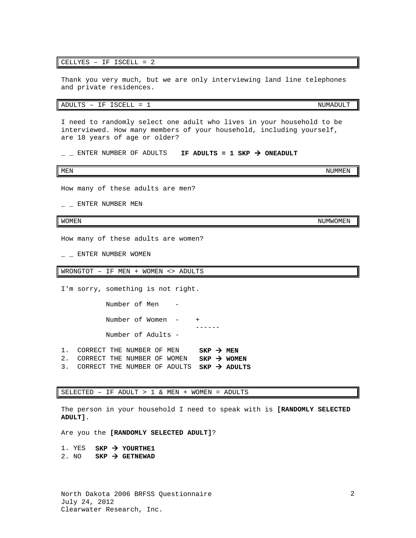### CELLYES – IF ISCELL = 2

Thank you very much, but we are only interviewing land line telephones and private residences.

ADULTS - IF ISCELL = 1 NUMADULT

I need to randomly select one adult who lives in your household to be interviewed. How many members of your household, including yourself, are 18 years of age or older?

 $\Box$   $\Box$  ENTER NUMBER OF ADULTS **IF ADULTS = 1 SKP**  $\rightarrow$  **ONEADULT** 

MEN NUMMEN AND A SERIES OF THE SERIES OF THE SERIES OF THE SERIES OF THE SERIES OF THE SERIES OF THE SERIES OF

How many of these adults are men?

 $-$  ENTER NUMBER MEN

How many of these adults are women?

 $\_$   $\_$  ENTER NUMBER WOMEN

WRONGTOT – IF MEN + WOMEN <> ADULTS

I'm sorry, something is not right.

Number of Men Number of Women - + ------ Number of Adults -

- 1. CORRECT THE NUMBER OF MEN  $SKP \rightarrow MEN$ <br>2. CORRECT THE NUMBER OF WOMEN  $SKP \rightarrow WOMEN$
- 2. CORRECT THE NUMBER OF WOMEN 3. CORRECT THE NUMBER OF ADULTS **SKP ADULTS**

SELECTED – IF ADULT > 1 & MEN + WOMEN = ADULTS

The person in your household I need to speak with is **[RANDOMLY SELECTED ADULT]**.

Are you the **[RANDOMLY SELECTED ADULT]**?

1. YES **SKP > YOURTHE1** 2. NO  $SKP \rightarrow GETNEWAD$ 

2

WOMEN NUMWOMEN AND THE SERVICE OF THE SERVICE OF THE SERVICE OF THE SERVICE OF THE SERVICE OF THE SERVICE OF T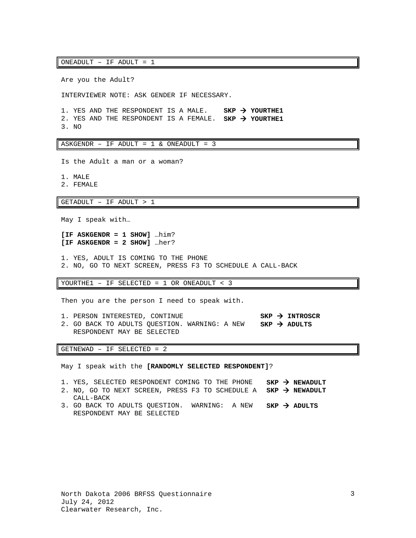ONEADULT – IF ADULT = 1

Are you the Adult?

INTERVIEWER NOTE: ASK GENDER IF NECESSARY.

1. YES AND THE RESPONDENT IS A MALE. **SKP YOURTHE1** 2. YES AND THE RESPONDENT IS A FEMALE. **SKP YOURTHE1** 3. NO

ASKGENDR – IF ADULT = 1 & ONEADULT = 3

Is the Adult a man or a woman?

1. MALE

2. FEMALE

GETADULT – IF ADULT > 1

May I speak with…

**[IF ASKGENDR = 1 SHOW]** …him? **[IF ASKGENDR = 2 SHOW]** …her?

1. YES, ADULT IS COMING TO THE PHONE 2. NO, GO TO NEXT SCREEN, PRESS F3 TO SCHEDULE A CALL-BACK

YOURTHE1 – IF SELECTED = 1 OR ONEADULT < 3

Then you are the person I need to speak with.

1. PERSON INTERESTED, CONTINUE **SKP INTROSCR** 2. GO BACK TO ADULTS QUESTION. WARNING: A NEW **SKP ADULTS** RESPONDENT MAY BE SELECTED

GETNEWAD – IF SELECTED = 2

CALL-BACK

May I speak with the **[RANDOMLY SELECTED RESPONDENT]**?

- 1. YES, SELECTED RESPONDENT COMING TO THE PHONE **SKP NEWADULT**
- 2. NO, GO TO NEXT SCREEN, PRESS F3 TO SCHEDULE A **SKP NEWADULT**
- 3. GO BACK TO ADULTS QUESTION. WARNING: A NEW RESPONDENT MAY BE SELECTED **SKP ADULTS**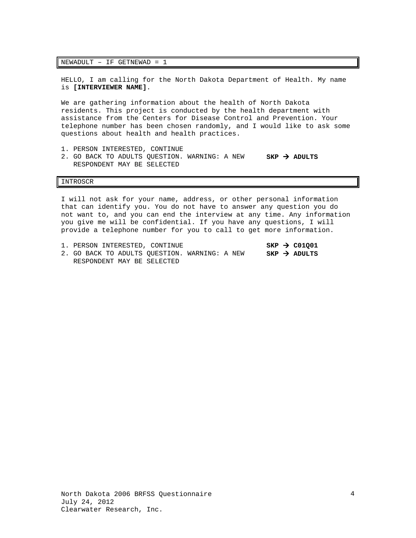### NEWADULT – IF GETNEWAD = 1

HELLO, I am calling for the North Dakota Department of Health. My name is **[INTERVIEWER NAME]**.

We are gathering information about the health of North Dakota residents. This project is conducted by the health department with assistance from the Centers for Disease Control and Prevention. Your telephone number has been chosen randomly, and I would like to ask some questions about health and health practices.

- 1. PERSON INTERESTED, CONTINUE
- 2. GO BACK TO ADULTS QUESTION. WARNING: A NEW RESPONDENT MAY BE SELECTED **SKP ADULTS**

### INTROSCR

I will not ask for your name, address, or other personal information that can identify you. You do not have to answer any question you do not want to, and you can end the interview at any time. Any information you give me will be confidential. If you have any questions, I will provide a telephone number for you to call to get more information.

|  |  |  | 1. PERSON INTERESTED, CONTINUE                |  |  |  | $SKP \rightarrow CO1001$ |
|--|--|--|-----------------------------------------------|--|--|--|--------------------------|
|  |  |  | 2. GO BACK TO ADULTS OUESTION. WARNING: A NEW |  |  |  | $SKP \rightarrow ADULTS$ |
|  |  |  | RESPONDENT MAY BE SELECTED                    |  |  |  |                          |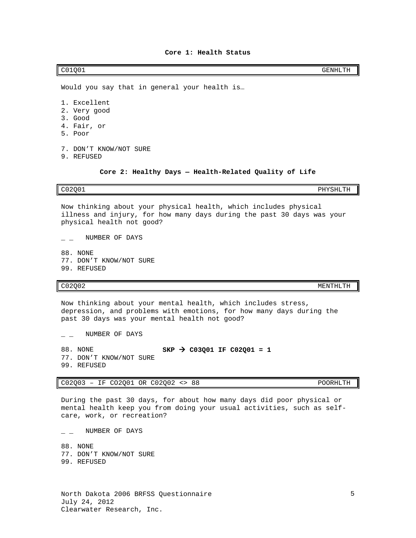4. Fair, or 7. DON'T KNOW/NOT SURE 9. REFUSED

Would you say that in general your health is…

**Core 2: Healthy Days — Health-Related Quality of Life**

# <span id="page-6-1"></span>C02Q01 PHYSHLTH

5. Poor

Now thinking about your physical health, which includes physical illness and injury, for how many days during the past 30 days was your physical health not good?

 $\_$  NUMBER OF DAYS

NUMBER OF DAYS

88. NONE 77. DON'T KNOW/NOT SURE 99. REFUSED

Now thinking about your mental health, which includes stress, depression, and problems with emotions, for how many days during the past 30 days was your mental health not good?

88. NONE **SKP > C03Q01 IF C02Q01 = 1** 77. DON'T KNOW/NOT SURE 99. REFUSED

C02Q03 – IF CO2Q01 OR C02Q02 <> 88 POORHLTH

During the past 30 days, for about how many days did poor physical or mental health keep you from doing your usual activities, such as selfcare, work, or recreation?

NUMBER OF DAYS

88. NONE 77. DON'T KNOW/NOT SURE

- - C02Q02 MENTHLTH

1. Excellent 2. Very good 3. Good

<span id="page-6-0"></span>C01Q01 GENHLTH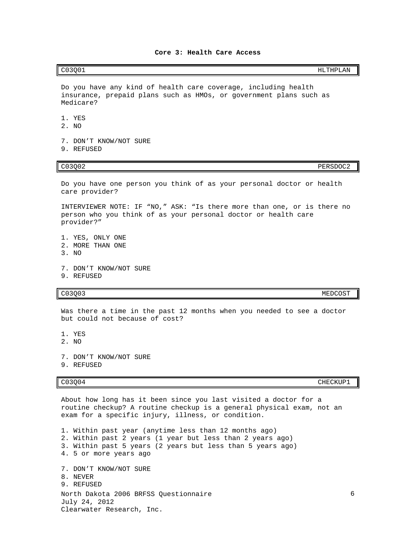<span id="page-7-0"></span>C03Q01 HLTHPLAN

Do you have any kind of health care coverage, including health insurance, prepaid plans such as HMOs, or government plans such as Medicare?

1. YES

- 2. NO
- 7. DON'T KNOW/NOT SURE
- 9. REFUSED

C03Q02 PERSDOC2

Do you have one person you think of as your personal doctor or health care provider?

INTERVIEWER NOTE: IF "NO," ASK: "Is there more than one, or is there no person who you think of as your personal doctor or health care provider?"

1. YES, ONLY ONE 2. MORE THAN ONE 3. NO

- 7. DON'T KNOW/NOT SURE
- 9. REFUSED

c03Q03 MEDCOST

Was there a time in the past 12 months when you needed to see a doctor but could not because of cost?

1. YES

- 2. NO
- 7. DON'T KNOW/NOT SURE
- 9. REFUSED

CO3Q04 CHECKUP1

About how long has it been since you last visited a doctor for a routine checkup? A routine checkup is a general physical exam, not an exam for a specific injury, illness, or condition.

North Dakota 2006 BRFSS Questionnaire July 24, 2012 Clearwater Research, Inc. 1. Within past year (anytime less than 12 months ago) 2. Within past 2 years (1 year but less than 2 years ago) 3. Within past 5 years (2 years but less than 5 years ago) 4. 5 or more years ago 7. DON'T KNOW/NOT SURE 8. NEVER 9. REFUSED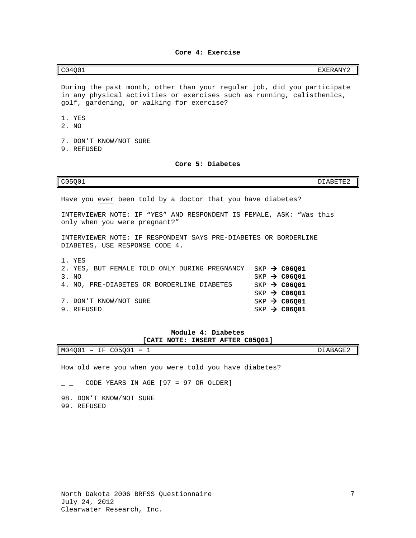**Core 4: Exercise**

<span id="page-8-0"></span>

| C04001<br>EXERANY2<br>- |
|-------------------------|
|                         |

During the past month, other than your regular job, did you participate in any physical activities or exercises such as running, calisthenics, golf, gardening, or walking for exercise?

1. YES

- 2. NO
- 7. DON'T KNOW/NOT SURE
- <span id="page-8-1"></span>9. REFUSED

### **Core 5: Diabetes**

C05Q01 DIABETE2

Have you ever been told by a doctor that you have diabetes?

INTERVIEWER NOTE: IF "YES" AND RESPONDENT IS FEMALE, ASK: "Was this only when you were pregnant?"

INTERVIEWER NOTE: IF RESPONDENT SAYS PRE-DIABETES OR BORDERLINE DIABETES, USE RESPONSE CODE 4.

| 1. YES                                        |  |                            |
|-----------------------------------------------|--|----------------------------|
| 2. YES, BUT FEMALE TOLD ONLY DURING PREGNANCY |  | $SKP$ $\rightarrow$ C06001 |
| 3. NO                                         |  | $SKP \rightarrow CO6001$   |
| 4. NO, PRE-DIABETES OR BORDERLINE DIABETES    |  | $SKP \rightarrow CO6Q01$   |
|                                               |  | $SKP \rightarrow CO6001$   |
| 7. DON'T KNOW/NOT SURE                        |  | $SKP \rightarrow CO6001$   |
| 9. REFUSED                                    |  | $SKP \rightarrow CO6Q01$   |
|                                               |  |                            |

## **Module 4: Diabetes [CATI NOTE: INSERT AFTER C05Q01]**

<span id="page-8-2"></span>

| M04Q01<br>$\sim$ $\sim$ $\sim$<br>$- -$<br>н.<br>$\overline{\phantom{0}}$<br>.<br>$\overline{\phantom{a}}$<br>--<br>--<br>$\overline{\phantom{0}}$<br>- | $\sim$ $-$<br>$- - - -$<br>$\mathbf{v}$<br>.<br>$\cdots$<br>` – н.<br>ے تلاف تعدہ ک<br>$\sim$ $\sim$ |
|---------------------------------------------------------------------------------------------------------------------------------------------------------|------------------------------------------------------------------------------------------------------|

How old were you when you were told you have diabetes?

 $\angle$   $\angle$  CODE YEARS IN AGE [97 = 97 OR OLDER]

98. DON'T KNOW/NOT SURE 99. REFUSED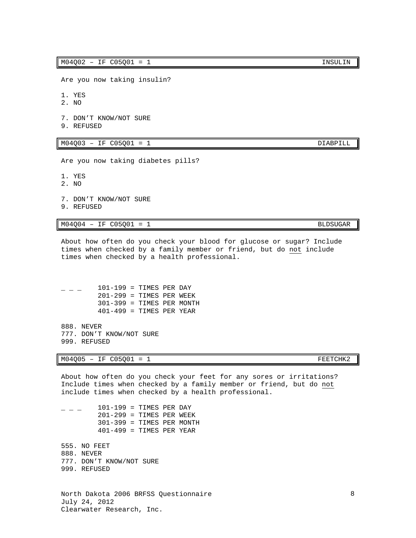Are you now taking insulin?

1. YES

- 2. NO
- 7. DON'T KNOW/NOT SURE
- 9. REFUSED

 $M04Q03$  – IF  $C05Q01$  = 1

Are you now taking diabetes pills?

1. YES

- 2. NO
- 7. DON'T KNOW/NOT SURE
- 9. REFUSED

 $M04Q04 - IF C05Q01 = 1$  BLDSUGAR

About how often do you check your blood for glucose or sugar? Include times when checked by a family member or friend, but do not include times when checked by a health professional.

 $101-199$  = TIMES PER DAY 201-299 = TIMES PER WEEK 301-399 = TIMES PER MONTH 401-499 = TIMES PER YEAR

888. NEVER 777. DON'T KNOW/NOT SURE 999. REFUSED

 $M04Q05$  – IF  $C05Q01$  = 1

About how often do you check your feet for any sores or irritations? Include times when checked by a family member or friend, but do not include times when checked by a health professional.

 $101-199$  = TIMES PER DAY 201-299 = TIMES PER WEEK 301-399 = TIMES PER MONTH  $401-499$  = TIMES PER YEAR

555. NO FEET 888. NEVER 777. DON'T KNOW/NOT SURE 999. REFUSED

North Dakota 2006 BRFSS Questionnaire July 24, 2012 Clearwater Research, Inc.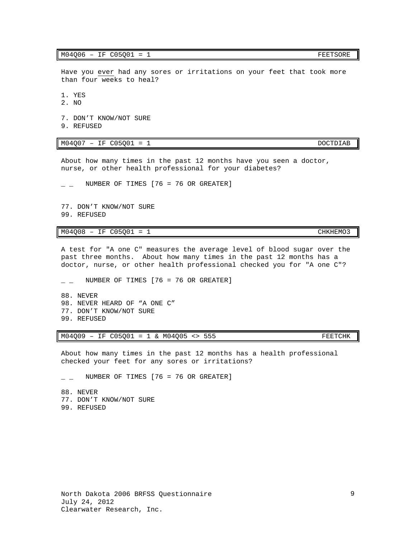$M04Q06$  – IF  $C05Q01$  = 1

Have you ever had any sores or irritations on your feet that took more than four weeks to heal?

1. YES

2. NO

7. DON'T KNOW/NOT SURE

9. REFUSED

 $M04007 - IF C05Q01 = 1$  DOCTDIAB

About how many times in the past 12 months have you seen a doctor, nurse, or other health professional for your diabetes?

NUMBER OF TIMES  $[76 = 76$  OR GREATER]

77. DON'T KNOW/NOT SURE 99. REFUSED

 $M04Q08 - IF C05Q01 = 1$  CHKHEMO3

A test for "A one C" measures the average level of blood sugar over the past three months. About how many times in the past 12 months has a doctor, nurse, or other health professional checked you for "A one C"?

 $\angle$   $\angle$  NUMBER OF TIMES [76 = 76 OR GREATER]

88. NEVER 98. NEVER HEARD OF "A ONE C" 77. DON'T KNOW/NOT SURE 99. REFUSED

M04Q09 - IF C05Q01 = 1 & M04Q05 <> 555 FEETCHK

About how many times in the past 12 months has a health professional checked your feet for any sores or irritations?

 $\angle$   $\angle$  NUMBER OF TIMES [76 = 76 OR GREATER]

88. NEVER 77. DON'T KNOW/NOT SURE 99. REFUSED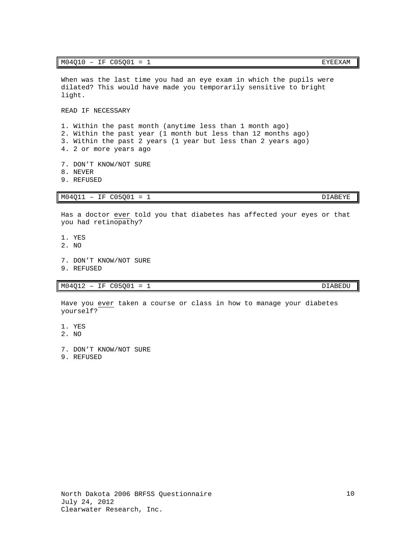When was the last time you had an eye exam in which the pupils were dilated? This would have made you temporarily sensitive to bright light.

READ IF NECESSARY

1. Within the past month (anytime less than 1 month ago) 2. Within the past year (1 month but less than 12 months ago) 3. Within the past 2 years (1 year but less than 2 years ago) 4. 2 or more years ago

- 7. DON'T KNOW/NOT SURE
- 8. NEVER
- 9. REFUSED

 $M04Q11 - IF C05Q01 = 1$  DIABEYE

Has a doctor ever told you that diabetes has affected your eyes or that you had retinopathy?

- 1. YES
- 2. NO
- 7. DON'T KNOW/NOT SURE
- 9. REFUSED

 $M04Q12 - IF C05Q01 = 1$  DIABEDU

Have you ever taken a course or class in how to manage your diabetes yourself?

- 1. YES
- 2. NO
- 7. DON'T KNOW/NOT SURE
- 9. REFUSED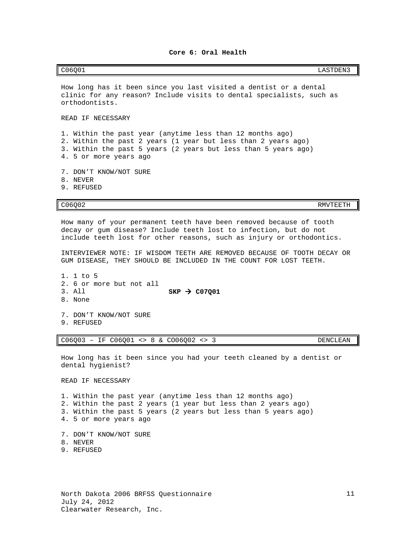### **Core 6: Oral Health**

<span id="page-12-0"></span>C06Q01 LASTDEN3

How long has it been since you last visited a dentist or a dental clinic for any reason? Include visits to dental specialists, such as orthodontists.

READ IF NECESSARY

1. Within the past year (anytime less than 12 months ago) 2. Within the past 2 years (1 year but less than 2 years ago) 3. Within the past 5 years (2 years but less than 5 years ago) 4. 5 or more years ago

- 7. DON'T KNOW/NOT SURE
- 8. NEVER
- 9. REFUSED

C06Q02 RMVTEETH

How many of your permanent teeth have been removed because of tooth decay or gum disease? Include teeth lost to infection, but do not include teeth lost for other reasons, such as injury or orthodontics.

INTERVIEWER NOTE: IF WISDOM TEETH ARE REMOVED BECAUSE OF TOOTH DECAY OR GUM DISEASE, THEY SHOULD BE INCLUDED IN THE COUNT FOR LOST TEETH.

1. 1 to 5 2. 6 or more but not all  $SKP \rightarrow CO7Q01$ 8. None

7. DON'T KNOW/NOT SURE

9. REFUSED

### C06Q03 – IF C06Q01 <> 8 & CO06Q02 <> 3 DENCLEAN

How long has it been since you had your teeth cleaned by a dentist or dental hygienist?

READ IF NECESSARY

1. Within the past year (anytime less than 12 months ago) 2. Within the past 2 years (1 year but less than 2 years ago) 3. Within the past 5 years (2 years but less than 5 years ago) 4. 5 or more years ago

- 7. DON'T KNOW/NOT SURE
- 8. NEVER
- 9. REFUSED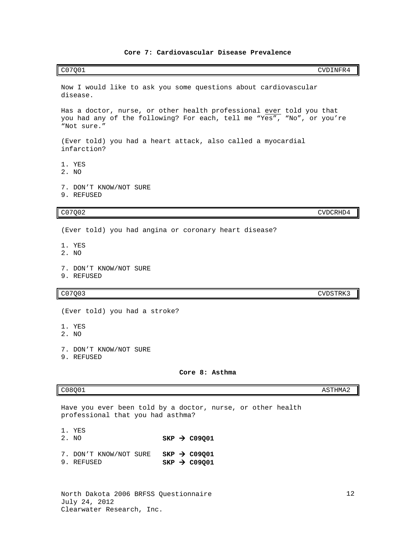<span id="page-13-0"></span>C07Q01 CVDINFR4

Has a doctor, nurse, or other health professional ever told you that you had any of the following? For each, tell me "Yes", "No", or you're

C07Q02 CVDCRHD4

Now I would like to ask you some questions about cardiovascular

(Ever told) you had a heart attack, also called a myocardial

(Ever told) you had angina or coronary heart disease?

<span id="page-13-1"></span>

| 7. DON'T KNOW/NOT SURE<br>9. REFUSED                          |                                                             |                 |
|---------------------------------------------------------------|-------------------------------------------------------------|-----------------|
| C07Q03                                                        |                                                             | <b>CVDSTRK3</b> |
| (Ever told) you had a stroke?                                 |                                                             |                 |
| 1. YES<br>2. NO                                               |                                                             |                 |
| 7. DON'T KNOW/NOT SURE<br>9. REFUSED                          |                                                             |                 |
|                                                               | Core 8: Asthma                                              |                 |
| C08Q01                                                        |                                                             | ASTHMA2         |
| professional that you had asthma?                             | Have you ever been told by a doctor, nurse, or other health |                 |
| 1. YES<br>2. NO                                               | $SKP \rightarrow CO9Q01$                                    |                 |
| 7. DON'T KNOW/NOT SURE SKP $\rightarrow$ C09001<br>9. REFUSED | $SKP$ $\rightarrow$ C09Q01                                  |                 |
| North Dakota 2006 BRFSS Questionnaire                         |                                                             | 1               |

July 24, 2012

disease.

"Not sure."

infarction?

9. REFUSED

7. DON'T KNOW/NOT SURE

1. YES 2. NO

1. YES 2. NO

Clearwater Research, Inc.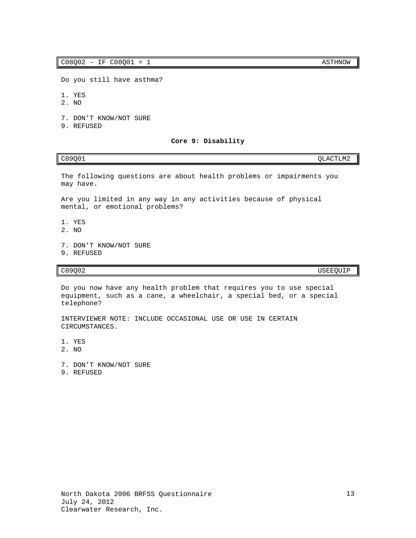Do you still have asthma?

- 1. YES
- 2. NO
- 7. DON'T KNOW/NOT SURE
- <span id="page-14-0"></span>9. REFUSED

### **Core 9: Disability**

## C09Q01 QLACTLM2

The following questions are about health problems or impairments you may have.

Are you limited in any way in any activities because of physical mental, or emotional problems?

- 1. YES
- 2. NO
- 7. DON'T KNOW/NOT SURE
- 9. REFUSED

# C09Q02 USEEQUIP

Do you now have any health problem that requires you to use special equipment, such as a cane, a wheelchair, a special bed, or a special telephone?

INTERVIEWER NOTE: INCLUDE OCCASIONAL USE OR USE IN CERTAIN CIRCUMSTANCES.

1. YES

- 2. NO
- 7. DON'T KNOW/NOT SURE
- 9. REFUSED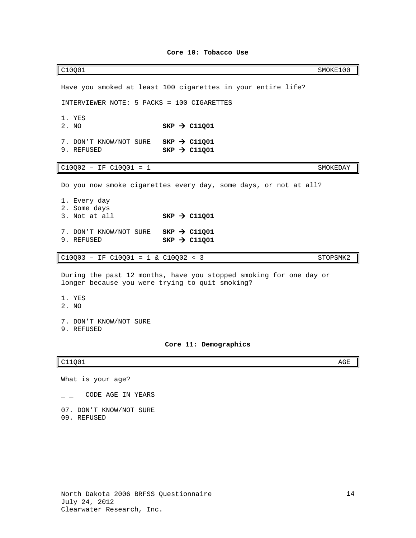## **Core 10: Tobacco Use**

<span id="page-15-0"></span>C10Q01 SMOKE100 Have you smoked at least 100 cigarettes in your entire life? INTERVIEWER NOTE: 5 PACKS = 100 CIGARETTES 1. YES<br>2. NO  $SKP \rightarrow C11Q01$ 7. DON'T KNOW/NOT SURE **SKP > C11Q01**<br>9. REFUSED **SKP > C11001**  $SKP \rightarrow C11Q01$  $C10Q02 - IF C10Q01 = 1$  SMOKEDAY Do you now smoke cigarettes every day, some days, or not at all? 1. Every day 2. Some days<br>3. Not at all  $SKP \rightarrow C11Q01$ 7. DON'T KNOW/NOT SURE **SKP > C11Q01**<br>9. REFUSED **SKP > C11Q01**  $SKP \rightarrow C11Q01$ C10Q03 - IF C10Q01 = 1 & C10Q02 < 3 STOPSMK2 During the past 12 months, have you stopped smoking for one day or longer because you were trying to quit smoking? 1. YES 2. NO 7. DON'T KNOW/NOT SURE 9. REFUSED **Core 11: Demographics**

### <span id="page-15-1"></span>C11Q01 AGE

What is your age?

 $\overline{\phantom{a}}$  \_ CODE AGE IN YEARS

07. DON'T KNOW/NOT SURE 09. REFUSED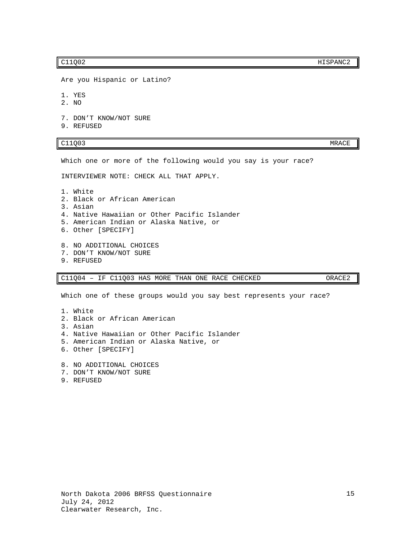C11Q02 HISPANC2

Are you Hispanic or Latino?

1. YES

- 2. NO
- 7. DON'T KNOW/NOT SURE
- 9. REFUSED

### C11Q03 MRACE

Which one or more of the following would you say is your race?

INTERVIEWER NOTE: CHECK ALL THAT APPLY.

- 1. White 2. Black or African American 3. Asian 4. Native Hawaiian or Other Pacific Islander 5. American Indian or Alaska Native, or 6. Other [SPECIFY] 8. NO ADDITIONAL CHOICES 7. DON'T KNOW/NOT SURE
- 9. REFUSED

C11Q04 – IF C11Q03 HAS MORE THAN ONE RACE CHECKED ORACE2

Which one of these groups would you say best represents your race?

- 1. White 2. Black or African American 3. Asian 4. Native Hawaiian or Other Pacific Islander 5. American Indian or Alaska Native, or 6. Other [SPECIFY] 8. NO ADDITIONAL CHOICES
- 7. DON'T KNOW/NOT SURE
- 9. REFUSED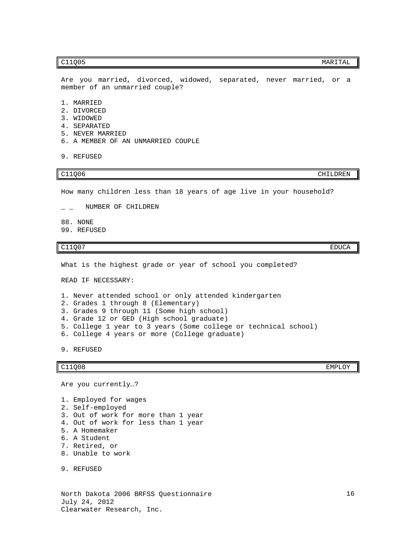Are you married, divorced, widowed, separated, never married, or a member of an unmarried couple?

- 1. MARRIED
- 2. DIVORCED
- 3. WIDOWED
- 4. SEPARATED
- 5. NEVER MARRIED
- 6. A MEMBER OF AN UNMARRIED COUPLE
- 9. REFUSED

How many children less than 18 years of age live in your household?

 $\overline{\phantom{a}}$  \_ NUMBER OF CHILDREN

88. NONE

99. REFUSED

C11Q07 EDUCA

What is the highest grade or year of school you completed?

READ IF NECESSARY:

1. Never attended school or only attended kindergarten

- 2. Grades 1 through 8 (Elementary)
- 3. Grades 9 through 11 (Some high school)
- 4. Grade 12 or GED (High school graduate)
- 5. College 1 year to 3 years (Some college or technical school)
- 6. College 4 years or more (College graduate)

9. REFUSED

C11Q08 EMPLOY

Are you currently…?

1. Employed for wages 2. Self-employed 3. Out of work for more than 1 year 4. Out of work for less than 1 year 5. A Homemaker 6. A Student 7. Retired, or 8. Unable to work

9. REFUSED

North Dakota 2006 BRFSS Questionnaire July 24, 2012 Clearwater Research, Inc.

C11Q06 CHILDREN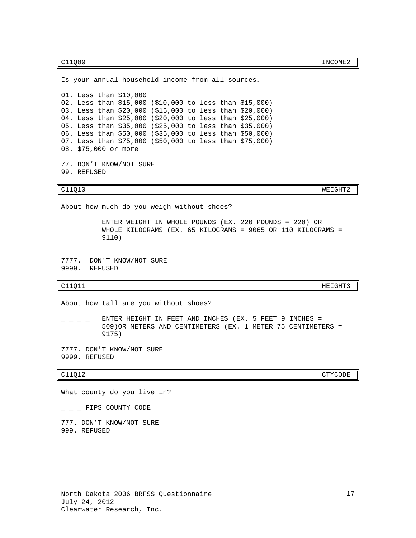C11Q09 INCOME2

Is your annual household income from all sources… 01. Less than \$10,000 02. Less than \$15,000 (\$10,000 to less than \$15,000) 03. Less than \$20,000 (\$15,000 to less than \$20,000) 04. Less than \$25,000 (\$20,000 to less than \$25,000) 05. Less than \$35,000 (\$25,000 to less than \$35,000) 06. Less than \$50,000 (\$35,000 to less than \$50,000) 07. Less than \$75,000 (\$50,000 to less than \$75,000) 08. \$75,000 or more 77. DON'T KNOW/NOT SURE 99. REFUSED C11Q10 WEIGHT2 About how much do you weigh without shoes?  $\_$   $\_$   $\_$  ENTER WEIGHT IN WHOLE POUNDS (EX. 220 POUNDS = 220) OR WHOLE KILOGRAMS (EX. 65 KILOGRAMS = 9065 OR 110 KILOGRAMS = 9110) 7777. DON'T KNOW/NOT SURE 9999. REFUSED C11Q11 HEIGHT3 About how tall are you without shoes?  $\_$   $\_$  ENTER HEIGHT IN FEET AND INCHES (EX. 5 FEET 9 INCHES = 509)OR METERS AND CENTIMETERS (EX. 1 METER 75 CENTIMETERS = 9175) 7777. DON'T KNOW/NOT SURE 9999. REFUSED C11Q12 CTYCODE

What county do you live in?

 $-$  FIPS COUNTY CODE

777. DON'T KNOW/NOT SURE 999. REFUSED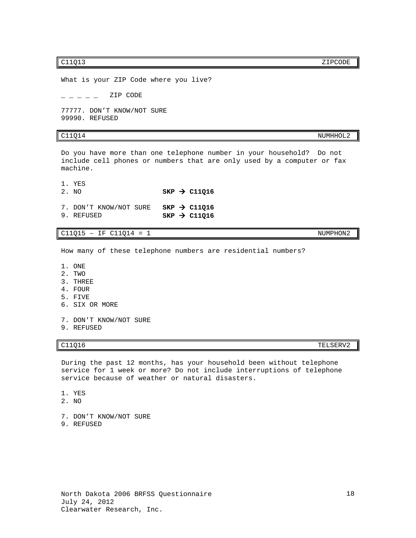c11Q13 zipcode and the contract of the contract of the contract of the contract of the contract of the contract of the contract of the contract of the contract of the contract of the contract of the contract of the contrac

What is your ZIP Code where you live?  $\overline{ZIP}$  CODE 77777. DON'T KNOW/NOT SURE

99990. REFUSED

# $C11Q14$  NUMHHOL2

Do you have more than one telephone number in your household? Do not include cell phones or numbers that are only used by a computer or fax machine.

1. YES<br>2. NO

 $SKP \rightarrow C11Q16$ 

|            | 7. DON'T KNOW/NOT SURE SKP $\rightarrow$ C11Q16 |  |                            |
|------------|-------------------------------------------------|--|----------------------------|
| 9. REFUSED |                                                 |  | $SKP$ $\rightarrow$ C11016 |

 $C11Q15 - IF C11Q14 = 1$  NUMPHON2

How many of these telephone numbers are residential numbers?

- 1. ONE
- 2. TWO
- 3. THREE
- 4. FOUR
- 5. FIVE
- 6. SIX OR MORE
- 7. DON'T KNOW/NOT SURE
- 9. REFUSED

C11Q16 TELSERV2

During the past 12 months, has your household been without telephone service for 1 week or more? Do not include interruptions of telephone service because of weather or natural disasters.

- 1. YES
- 2. NO
- 7. DON'T KNOW/NOT SURE
- 9. REFUSED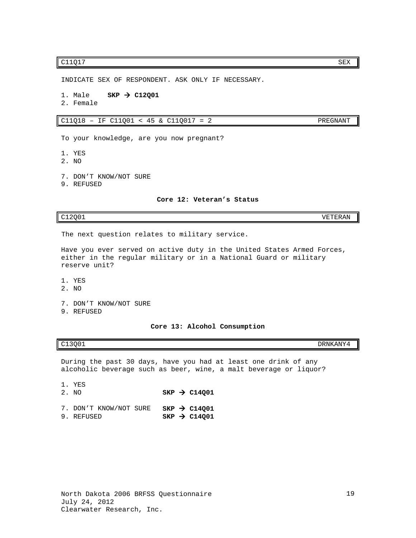# $CL1Q17$  SEX

INDICATE SEX OF RESPONDENT. ASK ONLY IF NECESSARY.

- 1. Male **SKP > C12Q01**
- 2. Female

C11Q18 – IF C11Q01 < 45 & C11Q017 = 2 PREGNANT

To your knowledge, are you now pregnant?

- 1. YES
- 2. NO
- 7. DON'T KNOW/NOT SURE
- <span id="page-20-0"></span>9. REFUSED

**Core 12: Veteran's Status**

C12Q01 VETERAN

The next question relates to military service.

Have you ever served on active duty in the United States Armed Forces, either in the regular military or in a National Guard or military reserve unit?

- 1. YES
- 2. NO
- 7. DON'T KNOW/NOT SURE
- <span id="page-20-1"></span>9. REFUSED

**Core 13: Alcohol Consumption**

C13Q01 DRNKANY4

During the past 30 days, have you had at least one drink of any alcoholic beverage such as beer, wine, a malt beverage or liquor?

- 1. YES<br>2. NO  $SKP \rightarrow C14Q01$
- 7. DON'T KNOW/NOT SURE **SKP > C14Q01**<br>9. REFUSED **SKP > C14Q01**  $SKP \rightarrow C14Q01$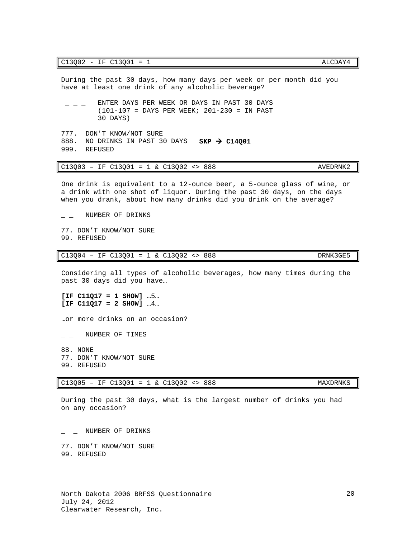During the past 30 days, how many days per week or per month did you have at least one drink of any alcoholic beverage?

- $-$  ENTER DAYS PER WEEK OR DAYS IN PAST 30 DAYS (101-107 = DAYS PER WEEK; 201-230 = IN PAST 30 DAYS)
- 777. DON'T KNOW/NOT SURE 888. NO DRINKS IN PAST 30 DAYS **SKP > C14Q01** 999. REFUSED

# C13Q03 – IF C13Q01 = 1 & C13Q02 <> 888 AVEDRNK2

One drink is equivalent to a 12-ounce beer, a 5-ounce glass of wine, or a drink with one shot of liquor. During the past 30 days, on the days when you drank, about how many drinks did you drink on the average?

 $\overline{\phantom{a}}$  \_ NUMBER OF DRINKS

77. DON'T KNOW/NOT SURE 99. REFUSED

## $C13Q04 - IF C13Q01 = 1 & C13Q02 <> 888$  DRNK3GE5

Considering all types of alcoholic beverages, how many times during the past 30 days did you have…

**[IF C11Q17 = 1 SHOW]** …5… **[IF C11Q17 = 2 SHOW]** …4…

…or more drinks on an occasion?

 $\overline{\phantom{a}}$  \_ NUMBER OF TIMES

88. NONE 77. DON'T KNOW/NOT SURE 99. REFUSED

# C13Q05 – IF C13Q01 = 1 & C13Q02 <> 888 MAXDRNKS

During the past 30 days, what is the largest number of drinks you had on any occasion?

\_ \_ NUMBER OF DRINKS

77. DON'T KNOW/NOT SURE 99. REFUSED

20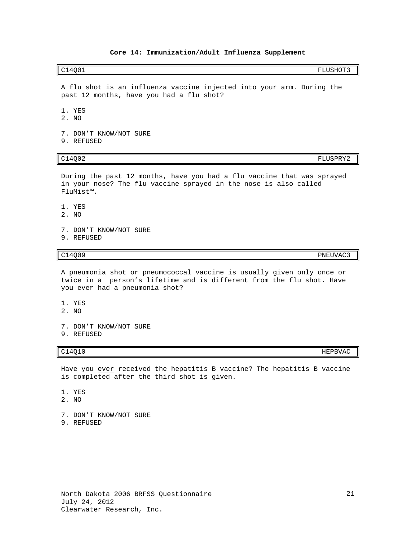### **Core 14: Immunization/Adult Influenza Supplement**

### <span id="page-22-0"></span>C14Q01 FLUSHOT3

A flu shot is an influenza vaccine injected into your arm. During the past 12 months, have you had a flu shot?

- 1. YES
- 2. NO
- 7. DON'T KNOW/NOT SURE
- 9. REFUSED

During the past 12 months, have you had a flu vaccine that was sprayed in your nose? The flu vaccine sprayed in the nose is also called FluMist™.

- 1. YES
- 2. NO
- 7. DON'T KNOW/NOT SURE
- 9. REFUSED

A pneumonia shot or pneumococcal vaccine is usually given only once or twice in a person's lifetime and is different from the flu shot. Have you ever had a pneumonia shot?

- 1. YES
- 2. NO
- 7. DON'T KNOW/NOT SURE
- 9. REFUSED

Have you ever received the hepatitis B vaccine? The hepatitis B vaccine is completed after the third shot is given.

- 1. YES
- 2. NO
- 7. DON'T KNOW/NOT SURE
- 9. REFUSED

### $C14Q10$  HEPBVAC

C14Q02 FLUSPRY2

C14Q09 PNEUVAC3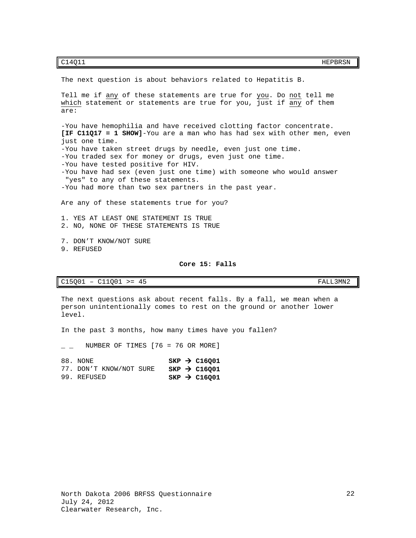C14Q11 HEPBRSN HEPBRSN

The next question is about behaviors related to Hepatitis B.

Tell me if any of these statements are true for you. Do not tell me which statement or statements are true for you, just if any of them are:

-You have hemophilia and have received clotting factor concentrate. **[IF C11Q17 = 1 SHOW]**-You are a man who has had sex with other men, even just one time. -You have taken street drugs by needle, even just one time. -You traded sex for money or drugs, even just one time. -You have tested positive for HIV. -You have had sex (even just one time) with someone who would answer "yes" to any of these statements. -You had more than two sex partners in the past year.

Are any of these statements true for you?

1. YES AT LEAST ONE STATEMENT IS TRUE 2. NO, NONE OF THESE STATEMENTS IS TRUE

7. DON'T KNOW/NOT SURE 9. REFUSED

### **Core 15: Falls**

<span id="page-23-0"></span>C15Q01 – C11Q01 >= 45 FALL3MN2

The next questions ask about recent falls. By a fall, we mean when a person unintentionally comes to rest on the ground or another lower level.

In the past 3 months, how many times have you fallen?

NUMBER OF TIMES  $[76 = 76$  OR MORE]

88. NONE **SKP > C16Q01**<br>77. DON'T KNOW/NOT SURE **SKP > C16Q01** 77. DON'T KNOW/NOT SURE<br>99. REFUSED

 $SKP \rightarrow C16Q01$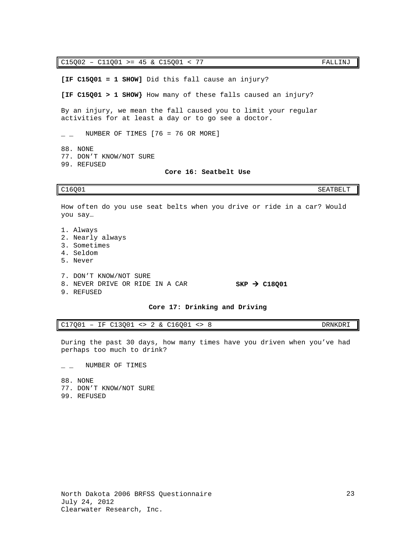C15Q02 – C11Q01 >= 45 & C15Q01 < 77 FALLINJ

**[IF C15Q01 = 1 SHOW]** Did this fall cause an injury?

**[IF C15Q01 > 1 SHOW}** How many of these falls caused an injury?

By an injury, we mean the fall caused you to limit your regular activities for at least a day or to go see a doctor.

 $\_$  NUMBER OF TIMES [76 = 76 OR MORE]

88. NONE

<span id="page-24-0"></span>77. DON'T KNOW/NOT SURE 99. REFUSED

## **Core 16: Seatbelt Use**

C16Q01 SEATBELT

How often do you use seat belts when you drive or ride in a car? Would you say…

1. Always 2. Nearly always 3. Sometimes 4. Seldom 5. Never 7. DON'T KNOW/NOT SURE 8. NEVER DRIVE OR RIDE IN A CAR **SKP > C18Q01** 9. REFUSED

### **Core 17: Drinking and Driving**

<span id="page-24-1"></span>C17Q01 – IF C13Q01 <> 2 & C16Q01 <> 8 DRNKDRI

During the past 30 days, how many times have you driven when you've had perhaps too much to drink?

 $\overline{\phantom{a}}$  \_ NUMBER OF TIMES

88. NONE 77. DON'T KNOW/NOT SURE

<span id="page-24-2"></span>99. REFUSED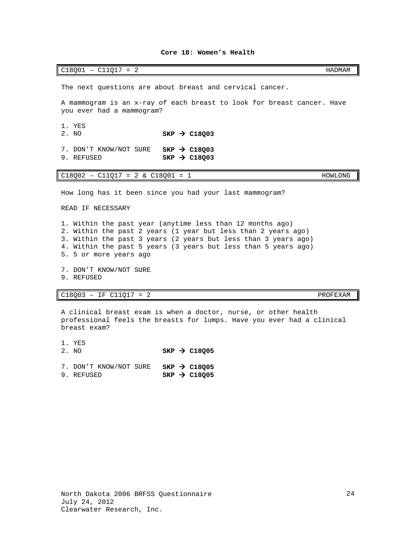The next questions are about breast and cervical cancer.

A mammogram is an x-ray of each breast to look for breast cancer. Have you ever had a mammogram?

**Core 18: Women's Health**

C18Q01 – C11Q17 = 2 HADMAM

1. YES<br>2. NO  $SKP \rightarrow C18Q03$ 

7. DON'T KNOW/NOT SURE **SKP > C18Q03**<br>9. REFUSED **SKP > C18003**  $SKP \rightarrow C18Q03$ 

 $C18Q02 - C11Q17 = 2 \& C18Q01 = 1$  HOWLONG

How long has it been since you had your last mammogram?

READ IF NECESSARY

1. Within the past year (anytime less than 12 months ago) 2. Within the past 2 years (1 year but less than 2 years ago) 3. Within the past 3 years (2 years but less than 3 years ago) 4. Within the past 5 years (3 years but less than 5 years ago) 5. 5 or more years ago

- 7. DON'T KNOW/NOT SURE
- 9. REFUSED

C18Q03 – IF C11Q17 = 2 PROFEXAM

A clinical breast exam is when a doctor, nurse, or other health professional feels the breasts for lumps. Have you ever had a clinical breast exam?

1. YES<br>2. NO  $SKP \rightarrow C18Q05$ 7. DON'T KNOW/NOT SURE **SKP > C18Q05**<br>9. REFUSED **SKP > C18Q05** 9. REFUSED

24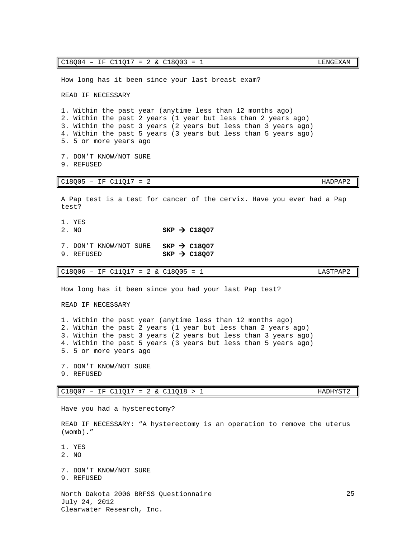| READ IF NECESSARY                                                                                                                                                                                                                                                                        |
|------------------------------------------------------------------------------------------------------------------------------------------------------------------------------------------------------------------------------------------------------------------------------------------|
| 1. Within the past year (anytime less than 12 months ago)<br>2. Within the past 2 years (1 year but less than 2 years ago)<br>3. Within the past 3 years (2 years but less than 3 years ago)<br>4. Within the past 5 years (3 years but less than 5 years ago)<br>5. 5 or more years ago |
| 7. DON'T KNOW/NOT SURE<br>9. REFUSED                                                                                                                                                                                                                                                     |
| $C18Q05 - IF C11Q17 = 2$<br>HADPAP2                                                                                                                                                                                                                                                      |
| A Pap test is a test for cancer of the cervix. Have you ever had a Pap<br>test?                                                                                                                                                                                                          |
| 1. YES<br>2. NO<br>$SKP \rightarrow C18007$                                                                                                                                                                                                                                              |
| 7. DON'T KNOW/NOT SURE<br>$SKP \rightarrow C18007$<br>9. REFUSED<br>$SKP \rightarrow C18Q07$                                                                                                                                                                                             |
| $C18Q06 - IF C11Q17 = 2 & C18Q05 = 1$<br>LASTPAP2                                                                                                                                                                                                                                        |
| How long has it been since you had your last Pap test?                                                                                                                                                                                                                                   |
| READ IF NECESSARY                                                                                                                                                                                                                                                                        |
| 1. Within the past year (anytime less than 12 months ago)<br>2. Within the past 2 years (1 year but less than 2 years ago)<br>3. Within the past 3 years (2 years but less than 3 years ago)<br>4. Within the past 5 years (3 years but less than 5 years ago)<br>5. 5 or more years ago |
| 7. DON'T KNOW/NOT SURE<br>9. REFUSED                                                                                                                                                                                                                                                     |
| $C18Q07 - IF C11Q17 = 2 & C11Q18 > 1$<br>HADHYST2                                                                                                                                                                                                                                        |
| Have you had a hysterectomy?                                                                                                                                                                                                                                                             |
| READ IF NECESSARY: "A hysterectomy is an operation to remove the uterus<br>$(womb)$ ."                                                                                                                                                                                                   |
| 1. YES                                                                                                                                                                                                                                                                                   |

How long has it been since your last breast exam?

- 2. NO
- 7. DON'T KNOW/NOT SURE
- 9. REFUSED

North Dakota 2006 BRFSS Questionnaire July 24, 2012 Clearwater Research, Inc.

 $C18Q04 - IF C11Q17 = 2 & C18Q03 = 1$  LENGEXAM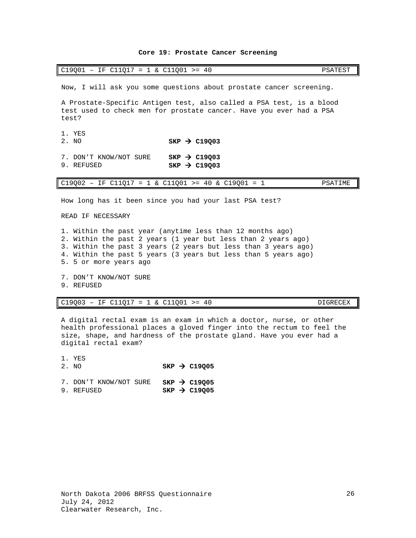### **Core 19: Prostate Cancer Screening**

<span id="page-27-0"></span>

|  |  |  |  | $C19Q01 - IF C11Q17 = 1 & C11Q01 >=$<br>- 40 | PSATEST |
|--|--|--|--|----------------------------------------------|---------|
|--|--|--|--|----------------------------------------------|---------|

Now, I will ask you some questions about prostate cancer screening.

A Prostate-Specific Antigen test, also called a PSA test, is a blood test used to check men for prostate cancer. Have you ever had a PSA test?

- 1. YES<br>2. NO
- $SKP \rightarrow C19Q03$
- 7. DON'T KNOW/NOT SURE **SKP → C19Q03**<br>9. REFUSED **SKP → C19003**  $SKP \rightarrow C19Q03$

C19Q02 – IF C11Q17 = 1 & C11Q01 >= 40 & C19Q01 = 1 PSATIME

How long has it been since you had your last PSA test?

READ IF NECESSARY

1. Within the past year (anytime less than 12 months ago) 2. Within the past 2 years (1 year but less than 2 years ago) 3. Within the past 3 years (2 years but less than 3 years ago) 4. Within the past 5 years (3 years but less than 5 years ago) 5. 5 or more years ago

- 7. DON'T KNOW/NOT SURE
- 9. REFUSED

1. YES

### C19Q03 – IF C11Q17 = 1 & C11Q01 >= 40 DIGRECEX

A digital rectal exam is an exam in which a doctor, nurse, or other health professional places a gloved finger into the rectum to feel the size, shape, and hardness of the prostate gland. Have you ever had a digital rectal exam?

| 2. NO |  | $SKP$ $\rightarrow$ C19005 |
|-------|--|----------------------------|
|       |  |                            |

|            | 7. DON'T KNOW/NOT SURE |  | $SKP \rightarrow C19Q05$ |
|------------|------------------------|--|--------------------------|
| 9. REFUSED |                        |  | $SKP \rightarrow C19Q05$ |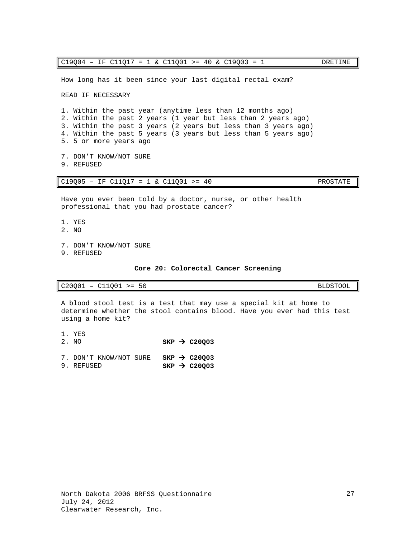READ IF NECESSARY 1. Within the past year (anytime less than 12 months ago) 2. Within the past 2 years (1 year but less than 2 years ago) 3. Within the past 3 years (2 years but less than 3 years ago) 4. Within the past 5 years (3 years but less than 5 years ago) 5. 5 or more years ago 7. DON'T KNOW/NOT SURE 9. REFUSED C19Q05 – IF C11Q17 = 1 & C11Q01 >= 40 PROSTATE Have you ever been told by a doctor, nurse, or other health professional that you had prostate cancer? 1. YES 2. NO 7. DON'T KNOW/NOT SURE

- 
- <span id="page-28-0"></span>9. REFUSED

**Core 20: Colorectal Cancer Screening**

C20Q01 – C11Q01 >= 50 BLDSTOOL

A blood stool test is a test that may use a special kit at home to determine whether the stool contains blood. Have you ever had this test using a home kit?

- 1. YES<br>2. NO  $SKP \rightarrow C20Q03$ 7. DON'T KNOW/NOT SURE **SKP > C20Q03**<br>9. REFUSED **SKP > C20Q03**
- $SKP \rightarrow C20Q03$

 $C19Q04 - IF C11Q17 = 1 & C11Q01 >= 40 & C19Q03 = 1$  DRETIME

How long has it been since your last digital rectal exam?

27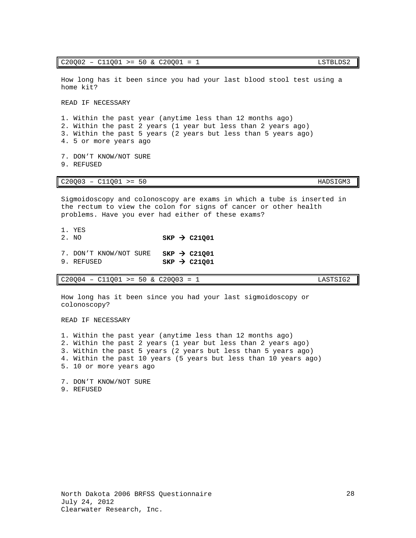1. Within the past year (anytime less than 12 months ago) 2. Within the past 2 years (1 year but less than 2 years ago) 3. Within the past 5 years (2 years but less than 5 years ago) 4. 5 or more years ago 7. DON'T KNOW/NOT SURE 9. REFUSED C20Q03 – C11Q01 >= 50 HADSIGM3 Sigmoidoscopy and colonoscopy are exams in which a tube is inserted in the rectum to view the colon for signs of cancer or other health problems. Have you ever had either of these exams? 1. YES 2. NO  $SKP \rightarrow C21Q01$ 7. DON'T KNOW/NOT SURE **SKP > C21Q01**<br>9. REFUSED **SKP > C21Q01**  $SKP \rightarrow C21Q01$ C20Q04 – C11Q01 >= 50 & C20Q03 = 1 LASTSIG2 How long has it been since you had your last sigmoidoscopy or colonoscopy? READ IF NECESSARY

1. Within the past year (anytime less than 12 months ago) 2. Within the past 2 years (1 year but less than 2 years ago) 3. Within the past 5 years (2 years but less than 5 years ago) 4. Within the past 10 years (5 years but less than 10 years ago) 5. 10 or more years ago

<span id="page-29-0"></span>7. DON'T KNOW/NOT SURE 9. REFUSED

# $C20Q02 - C11Q01 \geq 50 \& C20Q01 = 1$  LSTBLDS2

How long has it been since you had your last blood stool test using a home kit?

READ IF NECESSARY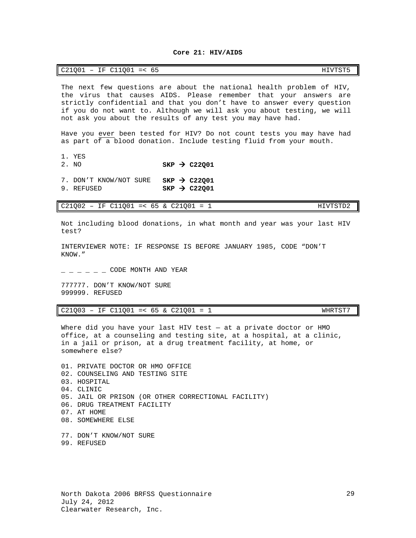### **Core 21: HIV/AIDS**

| C11Q01<br>C21Q01<br>HIVTST5<br>ΙF<br>$=$ $<$<br><u>_</u><br>ບບ |  |
|----------------------------------------------------------------|--|
|----------------------------------------------------------------|--|

The next few questions are about the national health problem of HIV, the virus that causes AIDS. Please remember that your answers are strictly confidential and that you don't have to answer every question if you do not want to. Although we will ask you about testing, we will not ask you about the results of any test you may have had.

Have you ever been tested for HIV? Do not count tests you may have had as part of a blood donation. Include testing fluid from your mouth.

- 
- 1. YES<br>2. NO  $SKP \rightarrow C22Q01$
- 7. DON'T KNOW/NOT SURE **SKP → C22Q01**<br>9. REFUSED **SKP → C22O01**
- $SKP \rightarrow C22001$

C21002 - IF C11001 =< 65 & C21001 = 1 HIVTSTD2

Not including blood donations, in what month and year was your last HIV test?

INTERVIEWER NOTE: IF RESPONSE IS BEFORE JANUARY 1985, CODE "DON'T KNOW."

 $\subset$  CODE MONTH AND YEAR

777777. DON'T KNOW/NOT SURE 999999. REFUSED

C21Q03 – IF C11Q01 =< 65 & C21Q01 = 1 WHRTST7

Where did you have your last HIV test — at a private doctor or HMO office, at a counseling and testing site, at a hospital, at a clinic, in a jail or prison, at a drug treatment facility, at home, or somewhere else?

01. PRIVATE DOCTOR OR HMO OFFICE 02. COUNSELING AND TESTING SITE 03. HOSPITAL 04. CLINIC 05. JAIL OR PRISON (OR OTHER CORRECTIONAL FACILITY) 06. DRUG TREATMENT FACILITY 07. AT HOME 08. SOMEWHERE ELSE 77. DON'T KNOW/NOT SURE

99. REFUSED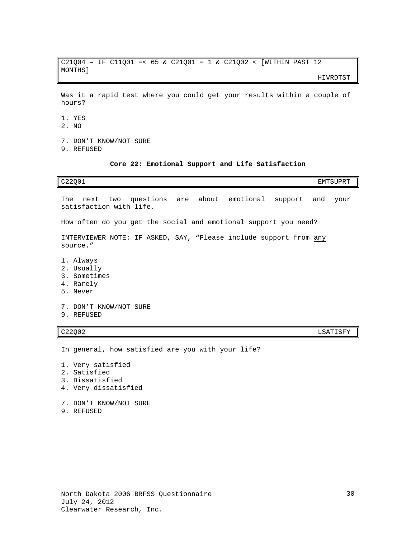C21Q04 – IF C11Q01 =< 65 & C21Q01 = 1 & C21Q02 < [WITHIN PAST 12 MONTHS]

HIVRDTST

Was it a rapid test where you could get your results within a couple of hours?

- 1. YES
- 2. NO
- 7. DON'T KNOW/NOT SURE
- <span id="page-31-0"></span>9. REFUSED

### **Core 22: Emotional Support and Life Satisfaction**

| C <sub>22001</sub><br>EMTSUPRT                                                            |
|-------------------------------------------------------------------------------------------|
| The next two questions are about emotional support and<br>your<br>satisfaction with life. |
| How often do you get the social and emotional support you need?                           |
| INTERVIEWER NOTE: IF ASKED, SAY, "Please include support from any<br>source."             |
| 1. Always<br>2. Usually<br>3. Sometimes<br>4. Rarely<br>5. Never                          |

7. DON'T KNOW/NOT SURE

9. REFUSED

C22Q02 LSATISFY

In general, how satisfied are you with your life?

- 1. Very satisfied
- 2. Satisfied
- 3. Dissatisfied
- 4. Very dissatisfied
- 7. DON'T KNOW/NOT SURE
- <span id="page-31-1"></span>9. REFUSED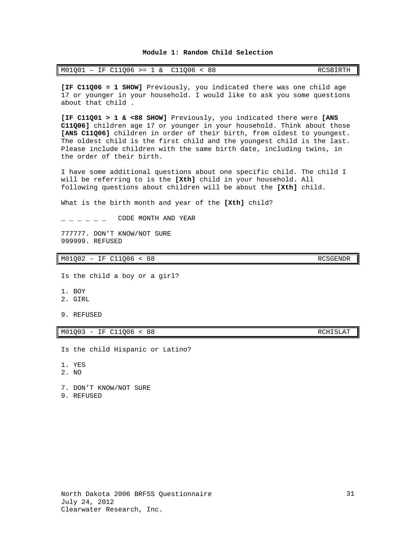### **Module 1: Random Child Selection**

| $M01Q01 - IF C11Q06 > = 1 & C11Q06 < 88$ |  |  | RCSBIRTH |
|------------------------------------------|--|--|----------|
|------------------------------------------|--|--|----------|

**[IF C11Q06 = 1 SHOW]** Previously, you indicated there was one child age 17 or younger in your household. I would like to ask you some questions about that child .

**[IF C11Q01 > 1 & <88 SHOW]** Previously, you indicated there were **[ANS C11Q06]** children age 17 or younger in your household. Think about those **[ANS C11Q06]** children in order of their birth, from oldest to youngest. The oldest child is the first child and the youngest child is the last. Please include children with the same birth date, including twins, in the order of their birth.

I have some additional questions about one specific child. The child I will be referring to is the **[Xth]** child in your household. All following questions about children will be about the **[Xth]** child.

What is the birth month and year of the **[Xth]** child?

 $\sim$   $\sim$   $\sim$   $\sim$   $\sim$   $\sim$  CODE MONTH AND YEAR

777777. DON'T KNOW/NOT SURE 999999. REFUSED

M01Q02 - IF C11Q06 < 88 RCSGENDR

Is the child a boy or a girl?

- 1. BOY
- 2. GIRL

9. REFUSED

M01Q03 - IF C11Q06 < 88 RCHISLAT

Is the child Hispanic or Latino?

1. YES

2. NO

7. DON'T KNOW/NOT SURE

9. REFUSED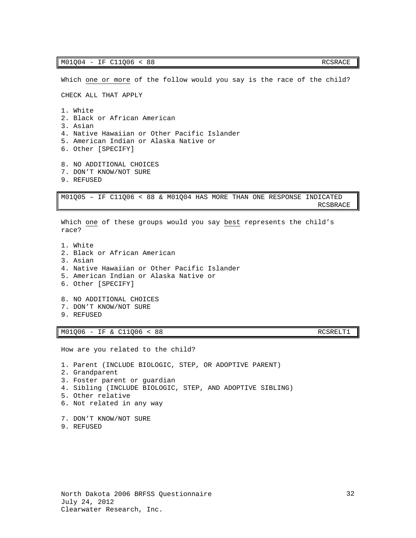Which one or more of the follow would you say is the race of the child? CHECK ALL THAT APPLY 1. White 2. Black or African American 3. Asian 4. Native Hawaiian or Other Pacific Islander 5. American Indian or Alaska Native or 6. Other [SPECIFY] 8. NO ADDITIONAL CHOICES 7. DON'T KNOW/NOT SURE 9. REFUSED M01Q05 – IF C11Q06 < 88 & M01Q04 HAS MORE THAN ONE RESPONSE INDICATED RCSBRACE Which one of these groups would you say best represents the child's race? 1. White 2. Black or African American 3. Asian 4. Native Hawaiian or Other Pacific Islander 5. American Indian or Alaska Native or 6. Other [SPECIFY]

8. NO ADDITIONAL CHOICES 7. DON'T KNOW/NOT SURE 9. REFUSED

M01Q06 - IF & C11Q06 < 88 RCSRELT1

How are you related to the child?

<span id="page-33-0"></span>1. Parent (INCLUDE BIOLOGIC, STEP, OR ADOPTIVE PARENT) 2. Grandparent 3. Foster parent or guardian 4. Sibling (INCLUDE BIOLOGIC, STEP, AND ADOPTIVE SIBLING) 5. Other relative 6. Not related in any way 7. DON'T KNOW/NOT SURE 9. REFUSED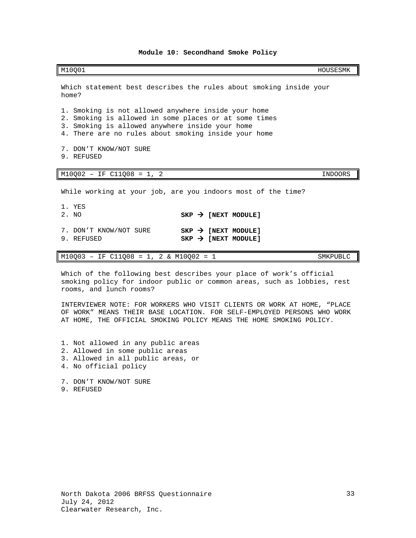### **Module 10: Secondhand Smoke Policy**

M10Q01 HOUSESMK

Which statement best describes the rules about smoking inside your home? 1. Smoking is not allowed anywhere inside your home 2. Smoking is allowed in some places or at some times 3. Smoking is allowed anywhere inside your home 4. There are no rules about smoking inside your home 7. DON'T KNOW/NOT SURE 9. REFUSED M10Q02 – IF C11Q08 = 1, 2 INDOORS While working at your job, are you indoors most of the time? 1. YES<br>2. NO  $SKP \rightarrow \text{[NEXT MODULE]}$ 7. DON'T KNOW/NOT SURE **SKP > [NEXT MODULE]**<br>9. REFUSED **SKP > [NEXT MODULE]**  $SKP \rightarrow [NEXT MODULE]$ 

M10Q03 – IF C11Q08 = 1, 2 & M10Q02 = 1 SMKPUBLC

Which of the following best describes your place of work's official smoking policy for indoor public or common areas, such as lobbies, rest rooms, and lunch rooms?

INTERVIEWER NOTE: FOR WORKERS WHO VISIT CLIENTS OR WORK AT HOME, "PLACE OF WORK" MEANS THEIR BASE LOCATION. FOR SELF-EMPLOYED PERSONS WHO WORK AT HOME, THE OFFICIAL SMOKING POLICY MEANS THE HOME SMOKING POLICY.

- 1. Not allowed in any public areas
- 2. Allowed in some public areas
- 3. Allowed in all public areas, or
- 4. No official policy
- 7. DON'T KNOW/NOT SURE
- 9. REFUSED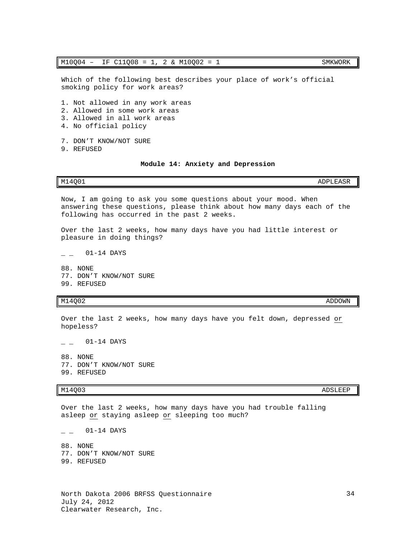### M10Q04 – IF C11Q08 = 1, 2 & M10Q02 = 1 SMKWORK

Which of the following best describes your place of work's official smoking policy for work areas?

- 1. Not allowed in any work areas
- 2. Allowed in some work areas
- 3. Allowed in all work areas
- 4. No official policy
- 7. DON'T KNOW/NOT SURE
- <span id="page-35-0"></span>9. REFUSED

### **Module 14: Anxiety and Depression**

Now, I am going to ask you some questions about your mood. When answering these questions, please think about how many days each of the following has occurred in the past 2 weeks.

M14Q01 ADPLEASR

Over the last 2 weeks, how many days have you had little interest or pleasure in doing things?

 $-$  01-14 DAYS

88. NONE 77. DON'T KNOW/NOT SURE 99. REFUSED

## M14Q02 ADDOWN

Over the last 2 weeks, how many days have you felt down, depressed or hopeless?

 $\overline{\phantom{0}}$   $\overline{\phantom{0}}$  01-14 DAYS

88. NONE 77. DON'T KNOW/NOT SURE 99. REFUSED

# M14Q03 ADSLEEP

Over the last 2 weeks, how many days have you had trouble falling asleep or staying asleep or sleeping too much?

 $-$  01-14 DAYS

88. NONE 77. DON'T KNOW/NOT SURE 99. REFUSED

34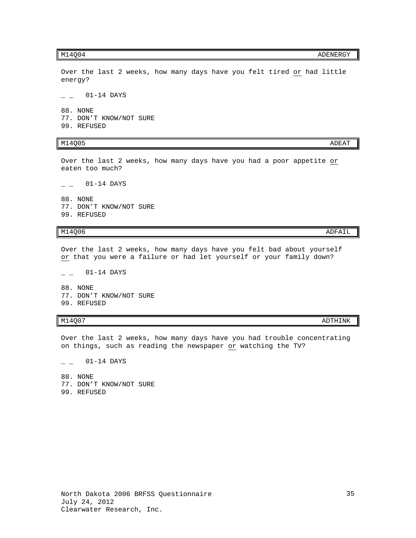M14Q04 ADENERGY

Over the last 2 weeks, how many days have you felt tired or had little energy?

 $-$  01-14 DAYS

88. NONE 77. DON'T KNOW/NOT SURE 99. REFUSED

# $M14Q05$  and  $M14Q05$

Over the last 2 weeks, how many days have you had a poor appetite or eaten too much?

 $01-14$  DAYS

88. NONE 77. DON'T KNOW/NOT SURE 99. REFUSED

## M14Q06 ADFAIL AND ANN AN DEAL ANN AN DEAL ANN AN DEAL ANN AN DEAL ANN AN DEAL ANN AN DEAL ANN AN DEAL ANN AN D

Over the last 2 weeks, how many days have you felt bad about yourself or that you were a failure or had let yourself or your family down?

 $-$  01-14 DAYS 88. NONE 77. DON'T KNOW/NOT SURE 99. REFUSED

Over the last 2 weeks, how many days have you had trouble concentrating on things, such as reading the newspaper or watching the TV?

 $-$  01-14 DAYS

88. NONE 77. DON'T KNOW/NOT SURE 99. REFUSED

M14Q07 ADTHINK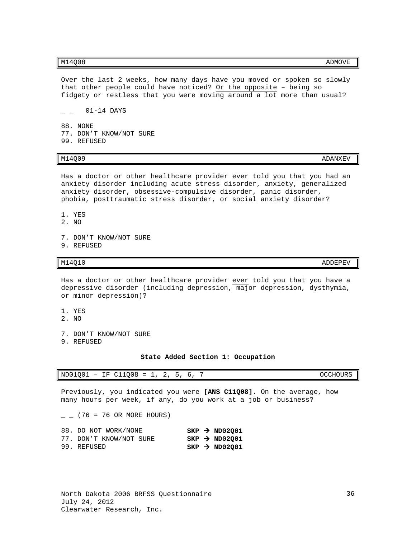Over the last 2 weeks, how many days have you moved or spoken so slowly that other people could have noticed? Or the opposite – being so fidgety or restless that you were moving around a lot more than usual?

 $\overline{\phantom{0}}$   $\overline{\phantom{0}}$   $\overline{\phantom{0}}$   $\overline{\phantom{0}}$   $\overline{\phantom{0}}$   $\overline{\phantom{0}}$   $\overline{\phantom{0}}$   $\overline{\phantom{0}}$   $\overline{\phantom{0}}$   $\overline{\phantom{0}}$   $\overline{\phantom{0}}$   $\overline{\phantom{0}}$   $\overline{\phantom{0}}$   $\overline{\phantom{0}}$   $\overline{\phantom{0}}$   $\overline{\phantom{0}}$   $\overline{\phantom{0}}$   $\overline{\phantom{0}}$   $\overline{\$ 

88. NONE 77. DON'T KNOW/NOT SURE 99. REFUSED

Has a doctor or other healthcare provider ever told you that you had an anxiety disorder including acute stress disorder, anxiety, generalized anxiety disorder, obsessive-compulsive disorder, panic disorder, phobia, posttraumatic stress disorder, or social anxiety disorder?

- 1. YES
- 2. NO
- 7. DON'T KNOW/NOT SURE 9. REFUSED
- 

 $M14Q10$   $ADDEPEV$ 

Has a doctor or other healthcare provider ever told you that you have a depressive disorder (including depression, major depression, dysthymia, or minor depression)?

- 1. YES
- 2. NO
- 7. DON'T KNOW/NOT SURE
- <span id="page-37-0"></span>9. REFUSED

**State Added Section 1: Occupation**

| $ND01Q01 - IF C11Q08 = 1, 2, 5$ |  |  |  |  |  |  |  |  | OCCHOURS |  |
|---------------------------------|--|--|--|--|--|--|--|--|----------|--|
|---------------------------------|--|--|--|--|--|--|--|--|----------|--|

Previously, you indicated you were **[ANS C11Q08]**. On the average, how many hours per week, if any, do you work at a job or business?

 $\_$  (76 = 76 OR MORE HOURS)

| 88. DO NOT WORK/NONE    |  | $SKP \rightarrow ND02Q01$ |
|-------------------------|--|---------------------------|
| 77. DON'T KNOW/NOT SURE |  | $SKP \rightarrow ND02Q01$ |
| 99. REFUSED             |  | $SKP \rightarrow ND02Q01$ |

# m14Q09 and the control of the control of the control of the control of the control of the control of the control of the control of the control of the control of the control of the control of the control of the control of t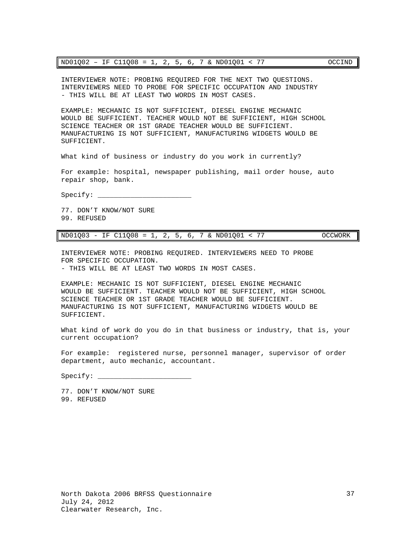| $ND01Q02 - IF C11Q08 = 1, 2, 5, 6, 7 & NDO1Q01 < 77$ |  |  |  |  |  |  |  |  |  |  |  |  | OCCIND |
|------------------------------------------------------|--|--|--|--|--|--|--|--|--|--|--|--|--------|
|------------------------------------------------------|--|--|--|--|--|--|--|--|--|--|--|--|--------|

INTERVIEWER NOTE: PROBING REQUIRED FOR THE NEXT TWO QUESTIONS. INTERVIEWERS NEED TO PROBE FOR SPECIFIC OCCUPATION AND INDUSTRY - THIS WILL BE AT LEAST TWO WORDS IN MOST CASES.

EXAMPLE: MECHANIC IS NOT SUFFICIENT, DIESEL ENGINE MECHANIC WOULD BE SUFFICIENT. TEACHER WOULD NOT BE SUFFICIENT, HIGH SCHOOL SCIENCE TEACHER OR 1ST GRADE TEACHER WOULD BE SUFFICIENT. MANUFACTURING IS NOT SUFFICIENT, MANUFACTURING WIDGETS WOULD BE SUFFICIENT.

What kind of business or industry do you work in currently?

For example: hospital, newspaper publishing, mail order house, auto repair shop, bank.

Specify: \_\_\_\_\_\_\_\_\_\_\_\_\_\_\_\_\_\_\_\_\_\_\_

77. DON'T KNOW/NOT SURE 99. REFUSED

ND01Q03 - IF C11Q08 = 1, 2, 5, 6, 7 & ND01Q01 < 77 OCCWORK

INTERVIEWER NOTE: PROBING REQUIRED. INTERVIEWERS NEED TO PROBE FOR SPECIFIC OCCUPATION. - THIS WILL BE AT LEAST TWO WORDS IN MOST CASES.

EXAMPLE: MECHANIC IS NOT SUFFICIENT, DIESEL ENGINE MECHANIC WOULD BE SUFFICIENT. TEACHER WOULD NOT BE SUFFICIENT, HIGH SCHOOL SCIENCE TEACHER OR 1ST GRADE TEACHER WOULD BE SUFFICIENT.

MANUFACTURING IS NOT SUFFICIENT, MANUFACTURING WIDGETS WOULD BE

What kind of work do you do in that business or industry, that is, your current occupation?

For example: registered nurse, personnel manager, supervisor of order department, auto mechanic, accountant.

Specify: \_\_\_\_

SUFFICIENT.

77. DON'T KNOW/NOT SURE 99. REFUSED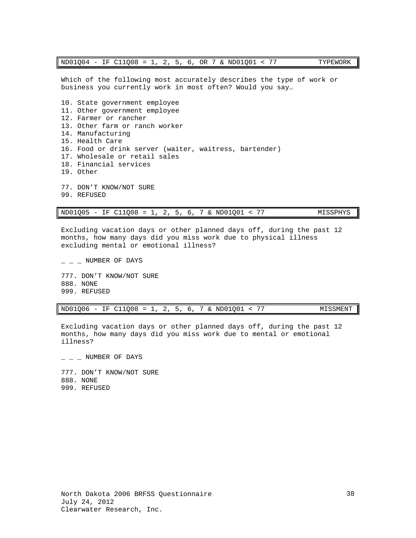Which of the following most accurately describes the type of work or business you currently work in most often? Would you say…

10. State government employee 11. Other government employee 12. Farmer or rancher 13. Other farm or ranch worker 14. Manufacturing 15. Health Care 16. Food or drink server (waiter, waitress, bartender) 17. Wholesale or retail sales 18. Financial services 19. Other 77. DON'T KNOW/NOT SURE 99. REFUSED

ND01Q05 - IF C11Q08 = 1, 2, 5, 6, 7 & ND01Q01 < 77 MISSPHYS

Excluding vacation days or other planned days off, during the past 12 months, how many days did you miss work due to physical illness excluding mental or emotional illness?

 $-$  NUMBER OF DAYS 777. DON'T KNOW/NOT SURE 888. NONE 999. REFUSED

|  |  |  |  |  |  |  |  |  | $ND01Q06 - IF C11Q08 = 1, 2, 5, 6, 7 \& ND01Q01 < 77$ | MISSMENT |
|--|--|--|--|--|--|--|--|--|-------------------------------------------------------|----------|
|--|--|--|--|--|--|--|--|--|-------------------------------------------------------|----------|

Excluding vacation days or other planned days off, during the past 12 months, how many days did you miss work due to mental or emotional illness?

<span id="page-39-0"></span> $-$  NUMBER OF DAYS 777. DON'T KNOW/NOT SURE 888. NONE 999. REFUSED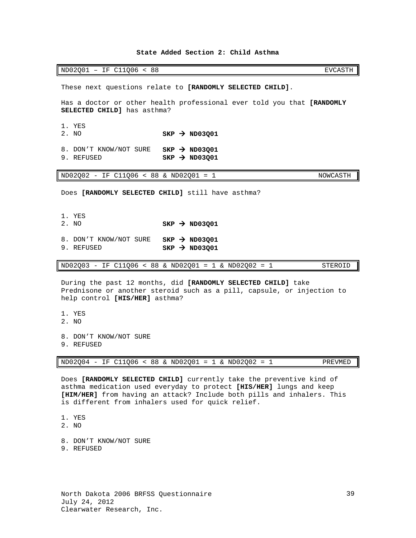### **State Added Section 2: Child Asthma**

ND02Q01 - IF C11Q06 < 88 EVCASTH

These next questions relate to **[RANDOMLY SELECTED CHILD]**.

Has a doctor or other health professional ever told you that **[RANDOMLY SELECTED CHILD]** has asthma?

1. YES<br>2. NO 2. NO **SKP ND03Q01**

8. DON'T KNOW/NOT SURE **SKP > ND03Q01**<br>9. REFUSED **SKP > ND03O01**  $SKP \rightarrow ND03Q01$ 

ND02Q02 - IF C11Q06 < 88 & ND02Q01 = 1 NOWCASTH

Does **[RANDOMLY SELECTED CHILD]** still have asthma?

1. YES<br>2. NO

 $SKP \rightarrow ND03Q01$ 

8. DON'T KNOW/NOT SURE **SKP > ND03Q01**<br>9. REFUSED **SKP > ND03Q01**  $SKP \rightarrow ND03Q01$ 

ND02Q03 - IF C11Q06 < 88 & ND02Q01 = 1 & ND02Q02 = 1 STEROID

During the past 12 months, did **[RANDOMLY SELECTED CHILD]** take Prednisone or another steroid such as a pill, capsule, or injection to help control **[HIS/HER]** asthma?

- 1. YES
- 2. NO
- 8. DON'T KNOW/NOT SURE
- 9. REFUSED

ND02Q04 - IF C11Q06 < 88 & ND02Q01 = 1 & ND02Q02 = 1 PREVMED

Does **[RANDOMLY SELECTED CHILD]** currently take the preventive kind of asthma medication used everyday to protect **[HIS/HER]** lungs and keep **[HIM/HER]** from having an attack? Include both pills and inhalers. This is different from inhalers used for quick relief.

- 1. YES
- 2. NO
- 8. DON'T KNOW/NOT SURE
- 9. REFUSED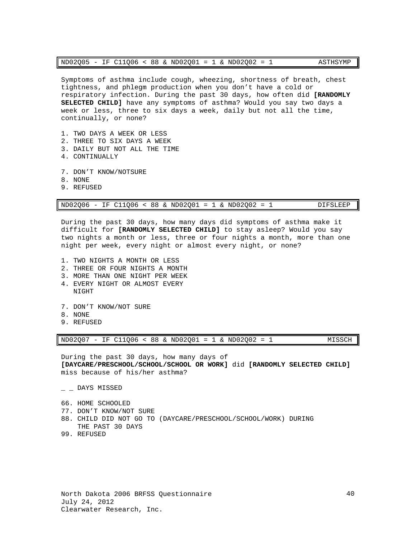| $ND02Q05 - IF C11Q06 < 88 \& ND02Q01 = 1 \& ND02Q02 = 1$ |  |  |  |  |  |  |  |  |  |  |  |  | ASTHSYMP |
|----------------------------------------------------------|--|--|--|--|--|--|--|--|--|--|--|--|----------|
|----------------------------------------------------------|--|--|--|--|--|--|--|--|--|--|--|--|----------|

Symptoms of asthma include cough, wheezing, shortness of breath, chest tightness, and phlegm production when you don't have a cold or respiratory infection. During the past 30 days, how often did **[RANDOMLY SELECTED CHILD]** have any symptoms of asthma? Would you say two days a week or less, three to six days a week, daily but not all the time, continually, or none?

- 1. TWO DAYS A WEEK OR LESS
- 2. THREE TO SIX DAYS A WEEK
- 3. DAILY BUT NOT ALL THE TIME
- 4. CONTINUALLY
- 7. DON'T KNOW/NOTSURE
- 8. NONE
- 9. REFUSED

|  |  |  |  |  |  |  |  |  |  |  | $ND02Q06 - IF C11Q06 < 88$ & $ND02Q01 = 1$ & $ND02Q02 = 1$ |  | DIFSLEEP |
|--|--|--|--|--|--|--|--|--|--|--|------------------------------------------------------------|--|----------|
|--|--|--|--|--|--|--|--|--|--|--|------------------------------------------------------------|--|----------|

During the past 30 days, how many days did symptoms of asthma make it difficult for **[RANDOMLY SELECTED CHILD]** to stay asleep? Would you say two nights a month or less, three or four nights a month, more than one night per week, every night or almost every night, or none?

- 1. TWO NIGHTS A MONTH OR LESS
- 2. THREE OR FOUR NIGHTS A MONTH
- 3. MORE THAN ONE NIGHT PER WEEK
- 4. EVERY NIGHT OR ALMOST EVERY NIGHT
- 7. DON'T KNOW/NOT SURE
- 8. NONE
- 9. REFUSED

ND02Q07 - IF C11Q06 < 88 & ND02Q01 = 1 & ND02Q02 = 1 MISSCH

During the past 30 days, how many days of **[DAYCARE/PRESCHOOL/SCHOOL/SCHOOL OR WORK]** did **[RANDOMLY SELECTED CHILD]** miss because of his/her asthma?

- $\_$   $\_$  DAYS MISSED
- 66. HOME SCHOOLED
- 77. DON'T KNOW/NOT SURE
- 88. CHILD DID NOT GO TO (DAYCARE/PRESCHOOL/SCHOOL/WORK) DURING THE PAST 30 DAYS
- 99. REFUSED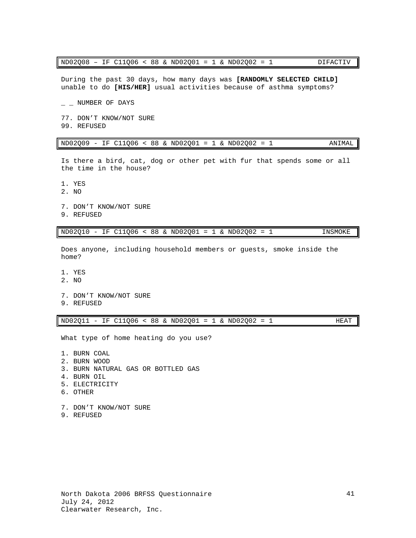| ND02Q08 - IF C11Q06 < 88 & ND02Q01 = 1 & ND02Q02 = 1 |  |  |  |  |  |  |  |  |  |  |  |  | DIFACTIV |
|------------------------------------------------------|--|--|--|--|--|--|--|--|--|--|--|--|----------|
|------------------------------------------------------|--|--|--|--|--|--|--|--|--|--|--|--|----------|

During the past 30 days, how many days was **[RANDOMLY SELECTED CHILD]** unable to do **[HIS/HER]** usual activities because of asthma symptoms?

 $-$  NUMBER OF DAYS 77. DON'T KNOW/NOT SURE 99. REFUSED

| $ND02Q09 - IF C11Q06 < 88 \& ND02Q01 = 1 \& ND02Q02 = 1$ | ANIMAL I |
|----------------------------------------------------------|----------|
|----------------------------------------------------------|----------|

Is there a bird, cat, dog or other pet with fur that spends some or all the time in the house?

- 1. YES
- 2. NO
- 7. DON'T KNOW/NOT SURE
- 9. REFUSED

ND02Q10 - IF C11Q06 < 88 & ND02Q01 = 1 & ND02Q02 = 1 INSMOKE

Does anyone, including household members or guests, smoke inside the home?

- 1. YES
- 2. NO
- 7. DON'T KNOW/NOT SURE
- 9. REFUSED

ND02Q11 - IF C11Q06 < 88 & ND02Q01 = 1 & ND02Q02 = 1 HEAT

What type of home heating do you use?

1. BURN COAL

- 2. BURN WOOD
- 3. BURN NATURAL GAS OR BOTTLED GAS
- 4. BURN OIL
- 5. ELECTRICITY
- 6. OTHER
- 7. DON'T KNOW/NOT SURE
- 9. REFUSED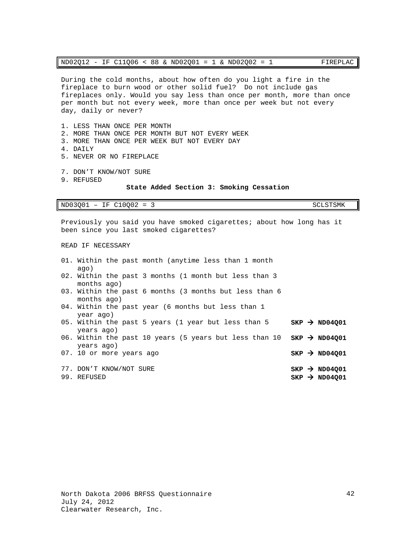| ND02Q12 - IF C11Q06 < 88 & ND02Q01 = 1 & ND02Q02 = 1 |  |  |  |  |  |  |  |  |  |  |  |  | FIREPLAC |
|------------------------------------------------------|--|--|--|--|--|--|--|--|--|--|--|--|----------|
|------------------------------------------------------|--|--|--|--|--|--|--|--|--|--|--|--|----------|

During the cold months, about how often do you light a fire in the fireplace to burn wood or other solid fuel? Do not include gas fireplaces only. Would you say less than once per month, more than once per month but not every week, more than once per week but not every day, daily or never?

- 1. LESS THAN ONCE PER MONTH
- 2. MORE THAN ONCE PER MONTH BUT NOT EVERY WEEK
- 3. MORE THAN ONCE PER WEEK BUT NOT EVERY DAY
- 4. DAILY
- 5. NEVER OR NO FIREPLACE
- 7. DON'T KNOW/NOT SURE
- <span id="page-43-0"></span>9. REFUSED

### **State Added Section 3: Smoking Cessation**

ND03Q01 - IF C10Q02 = 3 SCLSTSMK

Previously you said you have smoked cigarettes; about how long has it been since you last smoked cigarettes?

READ IF NECESSARY

| aqo)        |                                                                                                                                                                                                                                                                                                                                                                                                                                                                                           |
|-------------|-------------------------------------------------------------------------------------------------------------------------------------------------------------------------------------------------------------------------------------------------------------------------------------------------------------------------------------------------------------------------------------------------------------------------------------------------------------------------------------------|
|             |                                                                                                                                                                                                                                                                                                                                                                                                                                                                                           |
|             |                                                                                                                                                                                                                                                                                                                                                                                                                                                                                           |
| months ago) |                                                                                                                                                                                                                                                                                                                                                                                                                                                                                           |
|             |                                                                                                                                                                                                                                                                                                                                                                                                                                                                                           |
| year ago)   |                                                                                                                                                                                                                                                                                                                                                                                                                                                                                           |
|             | $SKP \rightarrow ND04001$                                                                                                                                                                                                                                                                                                                                                                                                                                                                 |
|             |                                                                                                                                                                                                                                                                                                                                                                                                                                                                                           |
|             |                                                                                                                                                                                                                                                                                                                                                                                                                                                                                           |
|             |                                                                                                                                                                                                                                                                                                                                                                                                                                                                                           |
|             | $SKP \rightarrow ND04001$                                                                                                                                                                                                                                                                                                                                                                                                                                                                 |
|             | $SKP \rightarrow ND04001$                                                                                                                                                                                                                                                                                                                                                                                                                                                                 |
|             | $SKP \rightarrow ND04001$                                                                                                                                                                                                                                                                                                                                                                                                                                                                 |
|             | 01. Within the past month (anytime less than 1 month<br>02. Within the past 3 months (1 month but less than 3<br>months ago)<br>03. Within the past 6 months (3 months but less than 6<br>04. Within the past year (6 months but less than 1<br>05. Within the past 5 years (1 year but less than 5<br>years ago)<br>06. Within the past 10 years (5 years but less than 10 $SKP \rightarrow ND04Q01$<br>years ago)<br>07. 10 or more years ago<br>77. DON'T KNOW/NOT SURE<br>99. REFUSED |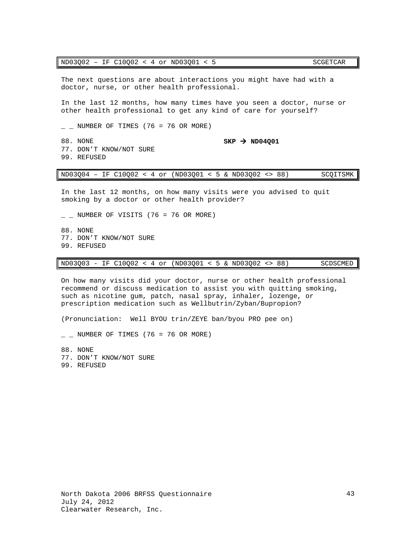## ND03Q02 - IF C10Q02 < 4 or ND03Q01 < 5 SCGETCAR

The next questions are about interactions you might have had with a doctor, nurse, or other health professional.

In the last 12 months, how many times have you seen a doctor, nurse or other health professional to get any kind of care for yourself?

 $\_$  NUMBER OF TIMES (76 = 76 OR MORE)

88. NONE **SKP > ND04Q01** 77. DON'T KNOW/NOT SURE 99. REFUSED

ND03Q04 – IF C10Q02 < 4 or (ND03Q01 < 5 & ND03Q02 <> 88) SCQITSMK

In the last 12 months, on how many visits were you advised to quit smoking by a doctor or other health provider?

 $\_$  NUMBER OF VISITS (76 = 76 OR MORE)

88. NONE 77. DON'T KNOW/NOT SURE 99. REFUSED

ND03Q03 - IF C10Q02 < 4 or (ND03Q01 < 5 & ND03Q02 <> 88) SCDSCMED

On how many visits did your doctor, nurse or other health professional recommend or discuss medication to assist you with quitting smoking, such as nicotine gum, patch, nasal spray, inhaler, lozenge, or prescription medication such as Wellbutrin/Zyban/Bupropion?

(Pronunciation: Well BYOU trin/ZEYE ban/byou PRO pee on)

 $\_$  NUMBER OF TIMES (76 = 76 OR MORE)

88. NONE

77. DON'T KNOW/NOT SURE

<span id="page-44-0"></span>99. REFUSED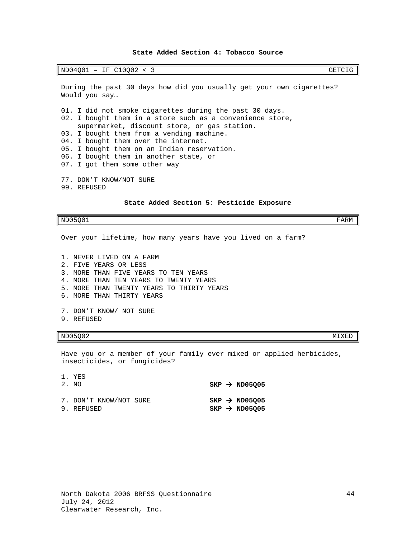## **State Added Section 4: Tobacco Source**

ND04Q01 - IF C10Q02 < 3 GETCIG

During the past 30 days how did you usually get your own cigarettes? Would you say…

01. I did not smoke cigarettes during the past 30 days. 02. I bought them in a store such as a convenience store, supermarket, discount store, or gas station. 03. I bought them from a vending machine. 04. I bought them over the internet. 05. I bought them on an Indian reservation. 06. I bought them in another state, or 07. I got them some other way 77. DON'T KNOW/NOT SURE

<span id="page-45-0"></span>99. REFUSED

### **State Added Section 5: Pesticide Exposure**

 $ND05Q01$  FARM

Over your lifetime, how many years have you lived on a farm?

1. NEVER LIVED ON A FARM 2. FIVE YEARS OR LESS 3. MORE THAN FIVE YEARS TO TEN YEARS 4. MORE THAN TEN YEARS TO TWENTY YEARS 5. MORE THAN TWENTY YEARS TO THIRTY YEARS 6. MORE THAN THIRTY YEARS 7. DON'T KNOW/ NOT SURE 9. REFUSED

# $ND05Q02$  MIXED

Have you or a member of your family ever mixed or applied herbicides, insecticides, or fungicides?

| 1. YES<br>2. NO                      |  | $SKP \rightarrow ND05Q05$                              |
|--------------------------------------|--|--------------------------------------------------------|
| 7. DON'T KNOW/NOT SURE<br>9. REFUSED |  | $SKP \rightarrow ND05005$<br>$SKP \rightarrow ND05Q05$ |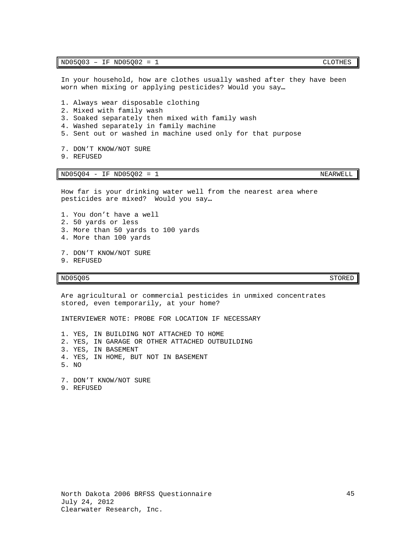In your household, how are clothes usually washed after they have been worn when mixing or applying pesticides? Would you say**…**

- 1. Always wear disposable clothing
- 2. Mixed with family wash
- 3. Soaked separately then mixed with family wash
- 4. Washed separately in family machine
- 5. Sent out or washed in machine used only for that purpose
- 7. DON'T KNOW/NOT SURE
- 9. REFUSED

ND05Q04 - IF ND05Q02 = 1 NEARWELL

How far is your drinking water well from the nearest area where pesticides are mixed? Would you say**…**

- 1. You don't have a well
- 2. 50 yards or less
- 3. More than 50 yards to 100 yards
- 4. More than 100 yards
- 7. DON'T KNOW/NOT SURE 9. REFUSED

ND05Q05 STORED STORED STORED STORED STORED STORED STORED STORED STORED STORED STORED STORED STORED STORED STOR

Are agricultural or commercial pesticides in unmixed concentrates stored, even temporarily, at your home?

INTERVIEWER NOTE: PROBE FOR LOCATION IF NECESSARY

1. YES, IN BUILDING NOT ATTACHED TO HOME 2. YES, IN GARAGE OR OTHER ATTACHED OUTBUILDING

- 3. YES, IN BASEMENT
- 4. YES, IN HOME, BUT NOT IN BASEMENT
- 5. NO

7. DON'T KNOW/NOT SURE 9. REFUSED

<span id="page-46-0"></span>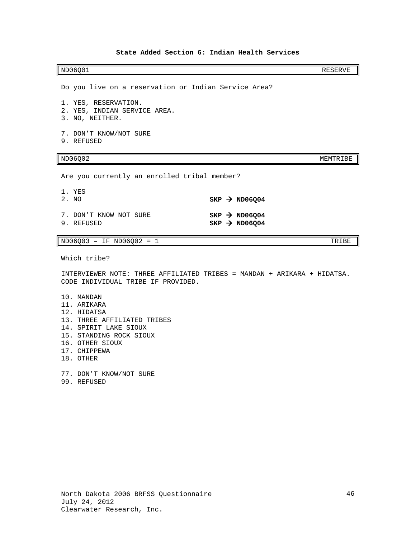## **State Added Section 6: Indian Health Services**

ND06Q01 RESERVE

Do you live on a reservation or Indian Service Area?

- 1. YES, RESERVATION.
- 2. YES, INDIAN SERVICE AREA.
- 3. NO, NEITHER.
- 7. DON'T KNOW/NOT SURE
- 9. REFUSED

# ND06Q02 MEMTRIBE

Are you currently an enrolled tribal member?

1. YES<br>2. NO 2. NO **SKP ND06Q04** 7. DON'T KNOW NOT SURE **SKP > ND06Q04**<br>9. REFUSED **SKP > ND06Q04**  $SKP \rightarrow ND06Q04$ 

# $ND06Q03 - IF ND06Q02 = 1$  TRIBE

Which tribe?

INTERVIEWER NOTE: THREE AFFILIATED TRIBES = MANDAN + ARIKARA + HIDATSA. CODE INDIVIDUAL TRIBE IF PROVIDED.

- 10. MANDAN
- 11. ARIKARA
- 12. HIDATSA
- 13. THREE AFFILIATED TRIBES
- 14. SPIRIT LAKE SIOUX
- 15. STANDING ROCK SIOUX
- 16. OTHER SIOUX
- 17. CHIPPEWA
- 18. OTHER
- 77. DON'T KNOW/NOT SURE 99. REFUSED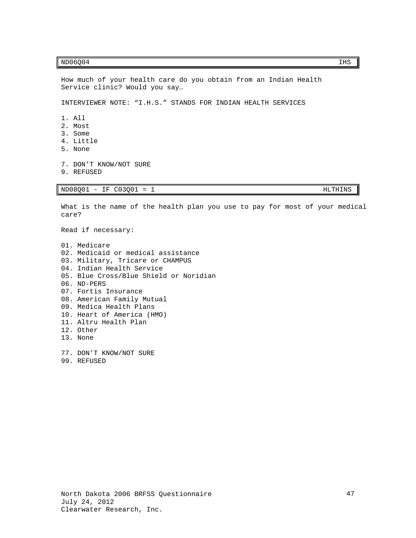# $ND06Q04$  is a set of  $ND06Q04$  if  $INS$

```
Service clinic? Would you say…
INTERVIEWER NOTE: "I.H.S." STANDS FOR INDIAN HEALTH SERVICES 
1. All 
2. Most 
3. Some
4. Little
```
How much of your health care do you obtain from an Indian Health

- 5. None
- 7. DON'T KNOW/NOT SURE
- 9. REFUSED

ND08Q01 - IF C03Q01 = 1 HLTHINS

What is the name of the health plan you use to pay for most of your medical care?

Read if necessary:

01. Medicare 02. Medicaid or medical assistance 03. Military, Tricare or CHAMPUS 04. Indian Health Service 05. Blue Cross/Blue Shield or Noridian 06. ND-PERS 07. Fortis Insurance 08. American Family Mutual 09. Medica Health Plans 10. Heart of America (HMO) 11. Altru Health Plan 12. Other 13. None

77. DON'T KNOW/NOT SURE 99. REFUSED